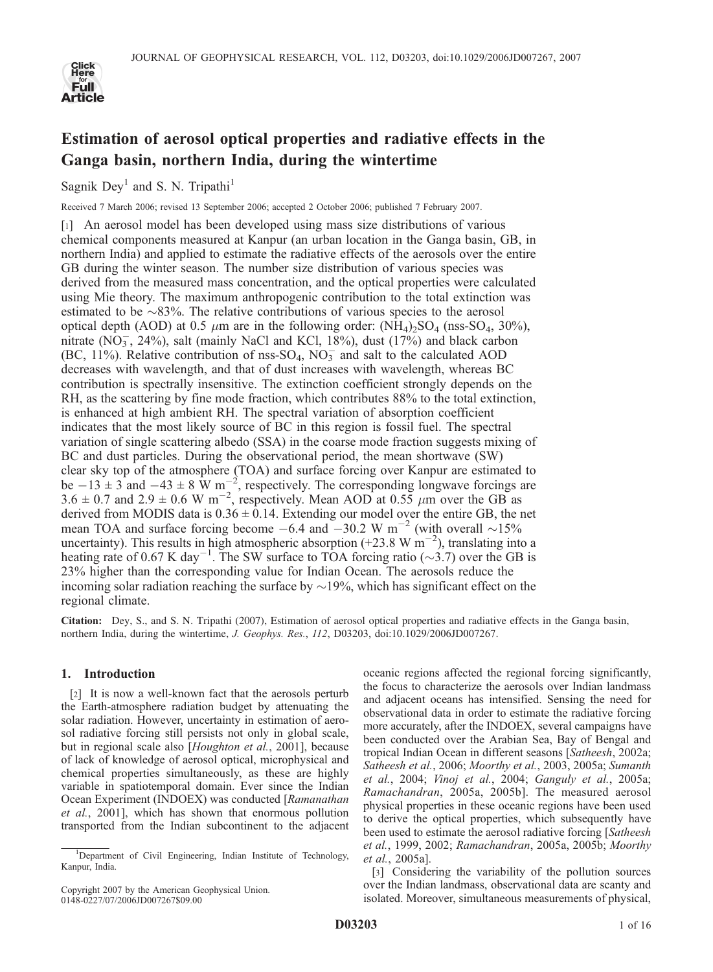

# Estimation of aerosol optical properties and radiative effects in the Ganga basin, northern India, during the wintertime

Sagnik Dey<sup>1</sup> and S. N. Tripathi<sup>1</sup>

Received 7 March 2006; revised 13 September 2006; accepted 2 October 2006; published 7 February 2007.

[1] An aerosol model has been developed using mass size distributions of various chemical components measured at Kanpur (an urban location in the Ganga basin, GB, in northern India) and applied to estimate the radiative effects of the aerosols over the entire GB during the winter season. The number size distribution of various species was derived from the measured mass concentration, and the optical properties were calculated using Mie theory. The maximum anthropogenic contribution to the total extinction was estimated to be  $\sim$ 83%. The relative contributions of various species to the aerosol optical depth (AOD) at 0.5  $\mu$ m are in the following order: (NH<sub>4</sub>)<sub>2</sub>SO<sub>4</sub> (nss-SO<sub>4</sub>, 30%), nitrate  $(NO<sub>3</sub>, 24%)$ , salt (mainly NaCl and KCl, 18%), dust  $(17%)$  and black carbon (BC, 11%). Relative contribution of nss-SO<sub>4</sub>,  $NO<sub>3</sub><sup>-</sup>$  and salt to the calculated AOD decreases with wavelength, and that of dust increases with wavelength, whereas BC contribution is spectrally insensitive. The extinction coefficient strongly depends on the RH, as the scattering by fine mode fraction, which contributes 88% to the total extinction, is enhanced at high ambient RH. The spectral variation of absorption coefficient indicates that the most likely source of BC in this region is fossil fuel. The spectral variation of single scattering albedo (SSA) in the coarse mode fraction suggests mixing of BC and dust particles. During the observational period, the mean shortwave (SW) clear sky top of the atmosphere (TOA) and surface forcing over Kanpur are estimated to be  $-13 \pm 3$  and  $-43 \pm 8$  W m<sup>-2</sup>, respectively. The corresponding longwave forcings are 3.6  $\pm$  0.7 and 2.9  $\pm$  0.6 W m<sup>-2</sup>, respectively. Mean AOD at 0.55  $\mu$ m over the GB as derived from MODIS data is  $0.36 \pm 0.14$ . Extending our model over the entire GB, the net mean TOA and surface forcing become  $-6.4$  and  $-30.2$  W m<sup>-2</sup> (with overall  $\sim$ 15% uncertainty). This results in high atmospheric absorption (+23.8 W  $\text{m}^{-2}$ ), translating into a heating rate of 0.67 K day<sup>-1</sup>. The SW surface to TOA forcing ratio ( $\sim$ 3.7) over the GB is 23% higher than the corresponding value for Indian Ocean. The aerosols reduce the incoming solar radiation reaching the surface by  $\sim$  19%, which has significant effect on the regional climate.

Citation: Dey, S., and S. N. Tripathi (2007), Estimation of aerosol optical properties and radiative effects in the Ganga basin, northern India, during the wintertime, J. Geophys. Res., 112, D03203, doi:10.1029/2006JD007267.

# 1. Introduction

[2] It is now a well-known fact that the aerosols perturb the Earth-atmosphere radiation budget by attenuating the solar radiation. However, uncertainty in estimation of aerosol radiative forcing still persists not only in global scale, but in regional scale also [Houghton et al., 2001], because of lack of knowledge of aerosol optical, microphysical and chemical properties simultaneously, as these are highly variable in spatiotemporal domain. Ever since the Indian Ocean Experiment (INDOEX) was conducted [Ramanathan et al., 2001], which has shown that enormous pollution transported from the Indian subcontinent to the adjacent

Copyright 2007 by the American Geophysical Union. 0148-0227/07/2006JD007267\$09.00

oceanic regions affected the regional forcing significantly, the focus to characterize the aerosols over Indian landmass and adjacent oceans has intensified. Sensing the need for observational data in order to estimate the radiative forcing more accurately, after the INDOEX, several campaigns have been conducted over the Arabian Sea, Bay of Bengal and tropical Indian Ocean in different seasons [Satheesh, 2002a; Satheesh et al., 2006; Moorthy et al., 2003, 2005a; Sumanth et al., 2004; Vinoj et al., 2004; Ganguly et al., 2005a; Ramachandran, 2005a, 2005b]. The measured aerosol physical properties in these oceanic regions have been used to derive the optical properties, which subsequently have been used to estimate the aerosol radiative forcing [Satheesh] et al., 1999, 2002; Ramachandran, 2005a, 2005b; Moorthy et al., 2005a].

[3] Considering the variability of the pollution sources over the Indian landmass, observational data are scanty and isolated. Moreover, simultaneous measurements of physical,

<sup>&</sup>lt;sup>1</sup>Department of Civil Engineering, Indian Institute of Technology, Kanpur, India.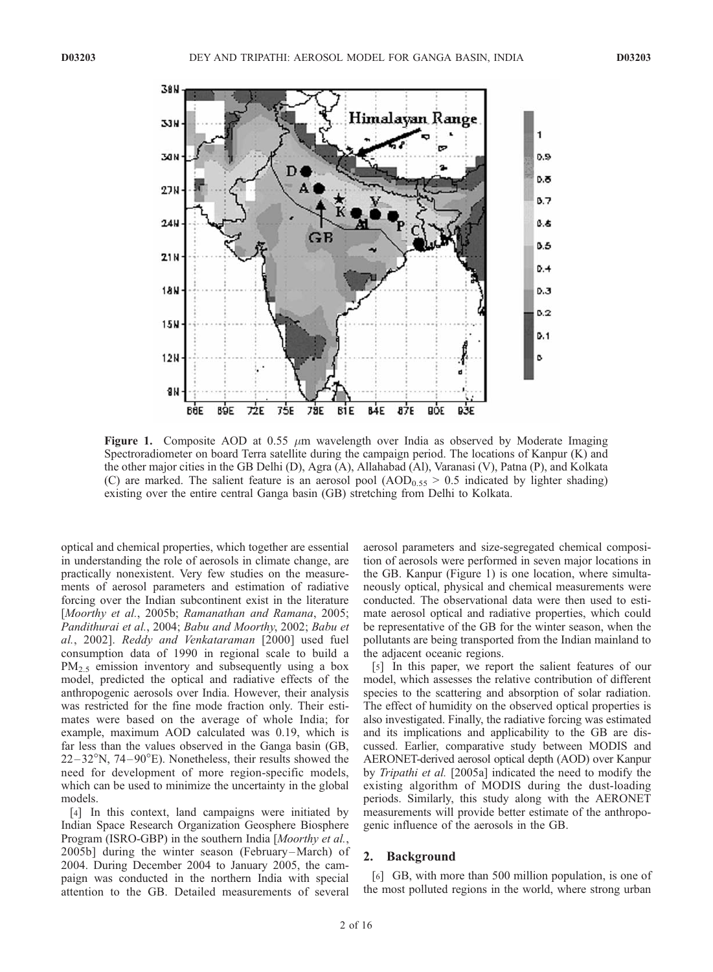

Figure 1. Composite AOD at 0.55  $\mu$ m wavelength over India as observed by Moderate Imaging Spectroradiometer on board Terra satellite during the campaign period. The locations of Kanpur (K) and the other major cities in the GB Delhi (D), Agra (A), Allahabad (Al), Varanasi (V), Patna (P), and Kolkata (C) are marked. The salient feature is an aerosol pool  $(AOD_{0.55} > 0.5$  indicated by lighter shading) existing over the entire central Ganga basin (GB) stretching from Delhi to Kolkata.

optical and chemical properties, which together are essential in understanding the role of aerosols in climate change, are practically nonexistent. Very few studies on the measurements of aerosol parameters and estimation of radiative forcing over the Indian subcontinent exist in the literature [Moorthy et al., 2005b; Ramanathan and Ramana, 2005; Pandithurai et al., 2004; Babu and Moorthy, 2002; Babu et al., 2002]. Reddy and Venkataraman [2000] used fuel consumption data of 1990 in regional scale to build a  $PM_{2.5}$  emission inventory and subsequently using a box model, predicted the optical and radiative effects of the anthropogenic aerosols over India. However, their analysis was restricted for the fine mode fraction only. Their estimates were based on the average of whole India; for example, maximum AOD calculated was 0.19, which is far less than the values observed in the Ganga basin (GB,  $22-32^{\circ}$ N,  $74-90^{\circ}$ E). Nonetheless, their results showed the need for development of more region-specific models, which can be used to minimize the uncertainty in the global models.

[4] In this context, land campaigns were initiated by Indian Space Research Organization Geosphere Biosphere Program (ISRO-GBP) in the southern India [Moorthy et al., 2005b] during the winter season (February –March) of 2004. During December 2004 to January 2005, the campaign was conducted in the northern India with special attention to the GB. Detailed measurements of several

aerosol parameters and size-segregated chemical composition of aerosols were performed in seven major locations in the GB. Kanpur (Figure 1) is one location, where simultaneously optical, physical and chemical measurements were conducted. The observational data were then used to estimate aerosol optical and radiative properties, which could be representative of the GB for the winter season, when the pollutants are being transported from the Indian mainland to the adjacent oceanic regions.

[5] In this paper, we report the salient features of our model, which assesses the relative contribution of different species to the scattering and absorption of solar radiation. The effect of humidity on the observed optical properties is also investigated. Finally, the radiative forcing was estimated and its implications and applicability to the GB are discussed. Earlier, comparative study between MODIS and AERONET-derived aerosol optical depth (AOD) over Kanpur by Tripathi et al. [2005a] indicated the need to modify the existing algorithm of MODIS during the dust-loading periods. Similarly, this study along with the AERONET measurements will provide better estimate of the anthropogenic influence of the aerosols in the GB.

#### 2. Background

[6] GB, with more than 500 million population, is one of the most polluted regions in the world, where strong urban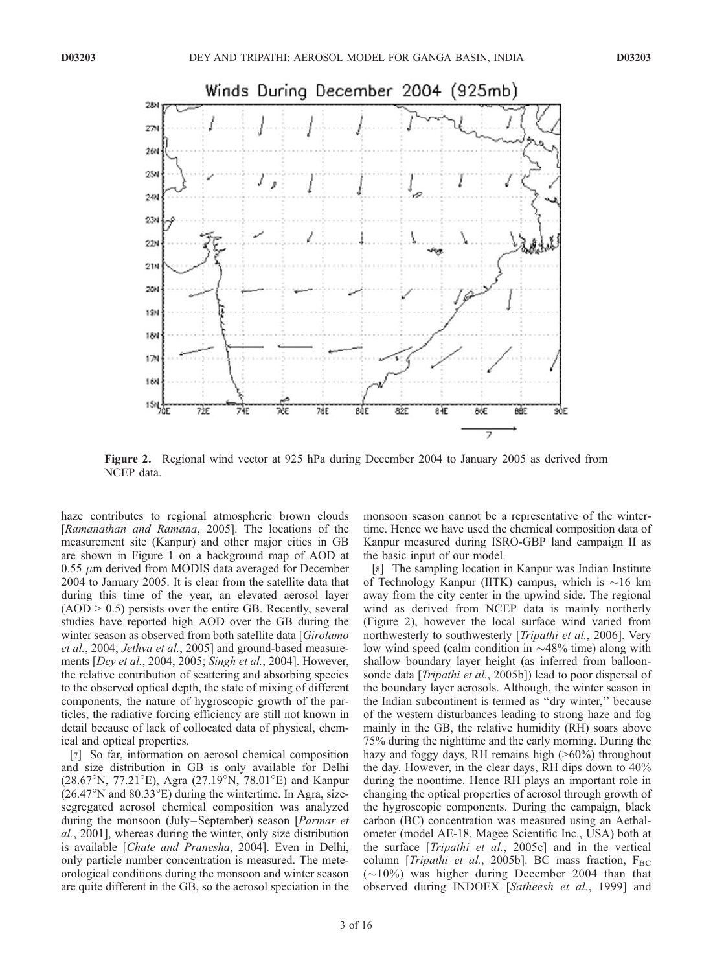

Figure 2. Regional wind vector at 925 hPa during December 2004 to January 2005 as derived from NCEP data.

haze contributes to regional atmospheric brown clouds [Ramanathan and Ramana, 2005]. The locations of the measurement site (Kanpur) and other major cities in GB are shown in Figure 1 on a background map of AOD at  $0.55 \mu m$  derived from MODIS data averaged for December 2004 to January 2005. It is clear from the satellite data that during this time of the year, an elevated aerosol layer  $(AOD > 0.5)$  persists over the entire GB. Recently, several studies have reported high AOD over the GB during the winter season as observed from both satellite data [Girolamo et al., 2004; Jethva et al., 2005] and ground-based measurements [Dey et al., 2004, 2005; Singh et al., 2004]. However, the relative contribution of scattering and absorbing species to the observed optical depth, the state of mixing of different components, the nature of hygroscopic growth of the particles, the radiative forcing efficiency are still not known in detail because of lack of collocated data of physical, chemical and optical properties.

[7] So far, information on aerosol chemical composition and size distribution in GB is only available for Delhi  $(28.67^{\circ}N, 77.21^{\circ}E)$ , Agra  $(27.19^{\circ}N, 78.01^{\circ}E)$  and Kanpur  $(26.47^{\circ}N$  and  $80.33^{\circ}E$ ) during the wintertime. In Agra, sizesegregated aerosol chemical composition was analyzed during the monsoon (July-September) season [Parmar et al., 2001], whereas during the winter, only size distribution is available [Chate and Pranesha, 2004]. Even in Delhi, only particle number concentration is measured. The meteorological conditions during the monsoon and winter season are quite different in the GB, so the aerosol speciation in the

monsoon season cannot be a representative of the wintertime. Hence we have used the chemical composition data of Kanpur measured during ISRO-GBP land campaign II as the basic input of our model.

[8] The sampling location in Kanpur was Indian Institute of Technology Kanpur (IITK) campus, which is  $\sim 16$  km away from the city center in the upwind side. The regional wind as derived from NCEP data is mainly northerly (Figure 2), however the local surface wind varied from northwesterly to southwesterly [Tripathi et al., 2006]. Very low wind speed (calm condition in  $\sim$ 48% time) along with shallow boundary layer height (as inferred from balloonsonde data [Tripathi et al., 2005b]) lead to poor dispersal of the boundary layer aerosols. Although, the winter season in the Indian subcontinent is termed as ''dry winter,'' because of the western disturbances leading to strong haze and fog mainly in the GB, the relative humidity (RH) soars above 75% during the nighttime and the early morning. During the hazy and foggy days, RH remains high ( $>60\%$ ) throughout the day. However, in the clear days, RH dips down to 40% during the noontime. Hence RH plays an important role in changing the optical properties of aerosol through growth of the hygroscopic components. During the campaign, black carbon (BC) concentration was measured using an Aethalometer (model AE-18, Magee Scientific Inc., USA) both at the surface [Tripathi et al., 2005c] and in the vertical column [Tripathi et al., 2005b]. BC mass fraction,  $F_{BC}$  $(\sim 10\%)$  was higher during December 2004 than that observed during INDOEX [Satheesh et al., 1999] and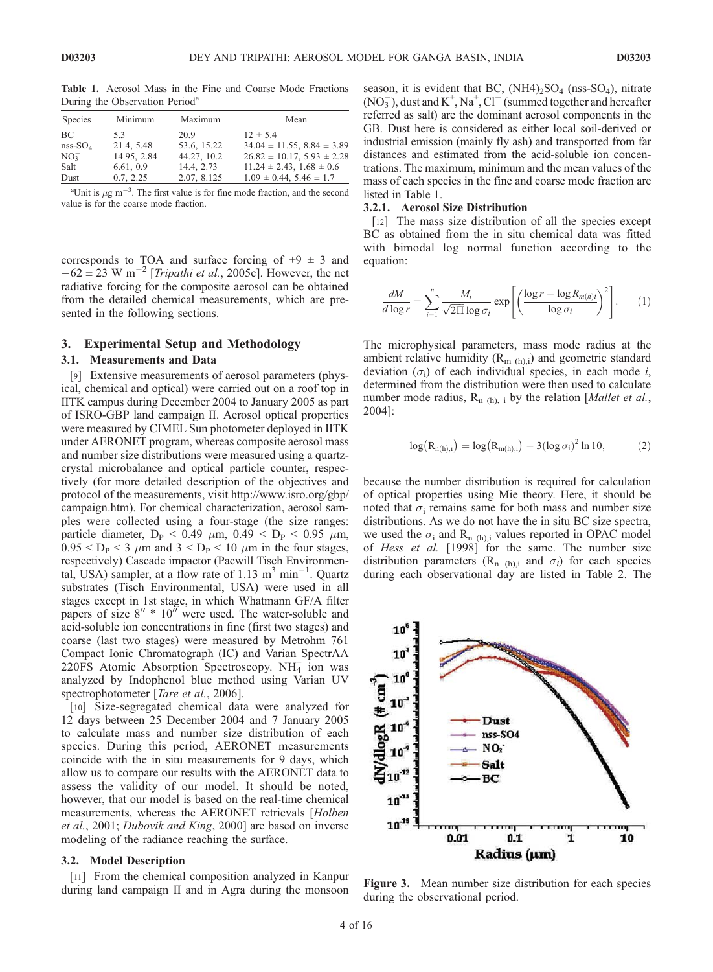| Species         | Minimum     | Maximum     | Mean                                |
|-----------------|-------------|-------------|-------------------------------------|
| BC.             | 5.3         | 20.9        | $12 \pm 5.4$                        |
| $nss-SO4$       | 21.4, 5.48  | 53.6, 15.22 | $34.04 \pm 11.55$ , $8.84 \pm 3.89$ |
| NO <sub>3</sub> | 14.95, 2.84 | 44.27, 10.2 | $26.82 \pm 10.17$ , $5.93 \pm 2.28$ |
| Salt            | 6.61, 0.9   | 14.4, 2.73  | $11.24 \pm 2.43$ , $1.68 \pm 0.6$   |
| Dust            | 0.7, 2.25   | 2.07, 8.125 | $1.09 \pm 0.44$ , $5.46 \pm 1.7$    |

Table 1. Aerosol Mass in the Fine and Coarse Mode Fractions During the Observation Period<sup>a</sup>

<sup>a</sup>Unit is  $\mu$ g m<sup>-3</sup>. The first value is for fine mode fraction, and the second value is for the coarse mode fraction.

corresponds to TOA and surface forcing of  $+9 \pm 3$  and  $-62 \pm 23$  W m<sup>-2</sup> [*Tripathi et al.*, 2005c]. However, the net radiative forcing for the composite aerosol can be obtained from the detailed chemical measurements, which are presented in the following sections.

## 3. Experimental Setup and Methodology

#### 3.1. Measurements and Data

[9] Extensive measurements of aerosol parameters (physical, chemical and optical) were carried out on a roof top in IITK campus during December 2004 to January 2005 as part of ISRO-GBP land campaign II. Aerosol optical properties were measured by CIMEL Sun photometer deployed in IITK under AERONET program, whereas composite aerosol mass and number size distributions were measured using a quartzcrystal microbalance and optical particle counter, respectively (for more detailed description of the objectives and protocol of the measurements, visit http://www.isro.org/gbp/ campaign.htm). For chemical characterization, aerosol samples were collected using a four-stage (the size ranges: particle diameter,  $D_P < 0.49 \mu m$ ,  $0.49 < D_P < 0.95 \mu m$ ,  $0.95 < D<sub>P</sub> < 3 \mu m$  and  $3 < D<sub>P</sub> < 10 \mu m$  in the four stages, respectively) Cascade impactor (Pacwill Tisch Environmental, USA) sampler, at a flow rate of 1.13  $\text{m}^3$  min<sup>-1</sup>. Quartz substrates (Tisch Environmental, USA) were used in all stages except in 1st stage, in which Whatmann GF/A filter papers of size  $8'' * 10''$  were used. The water-soluble and acid-soluble ion concentrations in fine (first two stages) and coarse (last two stages) were measured by Metrohm 761 Compact Ionic Chromatograph (IC) and Varian SpectrAA 220FS Atomic Absorption Spectroscopy.  $NH<sub>4</sub><sup>+</sup>$  ion was analyzed by Indophenol blue method using Varian UV spectrophotometer [Tare et al., 2006].

[10] Size-segregated chemical data were analyzed for 12 days between 25 December 2004 and 7 January 2005 to calculate mass and number size distribution of each species. During this period, AERONET measurements coincide with the in situ measurements for 9 days, which allow us to compare our results with the AERONET data to assess the validity of our model. It should be noted, however, that our model is based on the real-time chemical measurements, whereas the AERONET retrievals [Holben et al., 2001; Dubovik and King, 2000] are based on inverse modeling of the radiance reaching the surface.

#### 3.2. Model Description

[11] From the chemical composition analyzed in Kanpur during land campaign II and in Agra during the monsoon season, it is evident that BC,  $(NH4)_2SO_4$  (nss-SO<sub>4</sub>), nitrate  $(NO<sub>3</sub><sup>-</sup>)$ , dust and K<sup>+</sup>, Na<sup>+</sup>, Cl<sup>-</sup> (summed together and hereafter referred as salt) are the dominant aerosol components in the GB. Dust here is considered as either local soil-derived or industrial emission (mainly fly ash) and transported from far distances and estimated from the acid-soluble ion concentrations. The maximum, minimum and the mean values of the mass of each species in the fine and coarse mode fraction are listed in Table 1.

#### 3.2.1. Aerosol Size Distribution

[12] The mass size distribution of all the species except BC as obtained from the in situ chemical data was fitted with bimodal log normal function according to the equation:

$$
\frac{dM}{d\log r} = \sum_{i=1}^{n} \frac{M_i}{\sqrt{2\Pi} \log \sigma_i} \exp\left[ \left( \frac{\log r - \log R_{m(h)i}}{\log \sigma_i} \right)^2 \right].
$$
 (1)

The microphysical parameters, mass mode radius at the ambient relative humidity  $(R_{m (h),i})$  and geometric standard deviation  $(\sigma_i)$  of each individual species, in each mode *i*, determined from the distribution were then used to calculate number mode radius,  $R_{n(h), i}$  by the relation [*Mallet et al.*, 2004]:

$$
log(R_{n(h),i}) = log(R_{m(h),i}) - 3(log \sigma_i)^2 ln 10,
$$
 (2)

because the number distribution is required for calculation of optical properties using Mie theory. Here, it should be noted that  $\sigma_i$  remains same for both mass and number size distributions. As we do not have the in situ BC size spectra, we used the  $\sigma_i$  and R<sub>n (h),i</sub> values reported in OPAC model of Hess et al. [1998] for the same. The number size distribution parameters ( $\mathbb{R}_{n}$  (h), and  $\sigma_i$ ) for each species during each observational day are listed in Table 2. The



Figure 3. Mean number size distribution for each species during the observational period.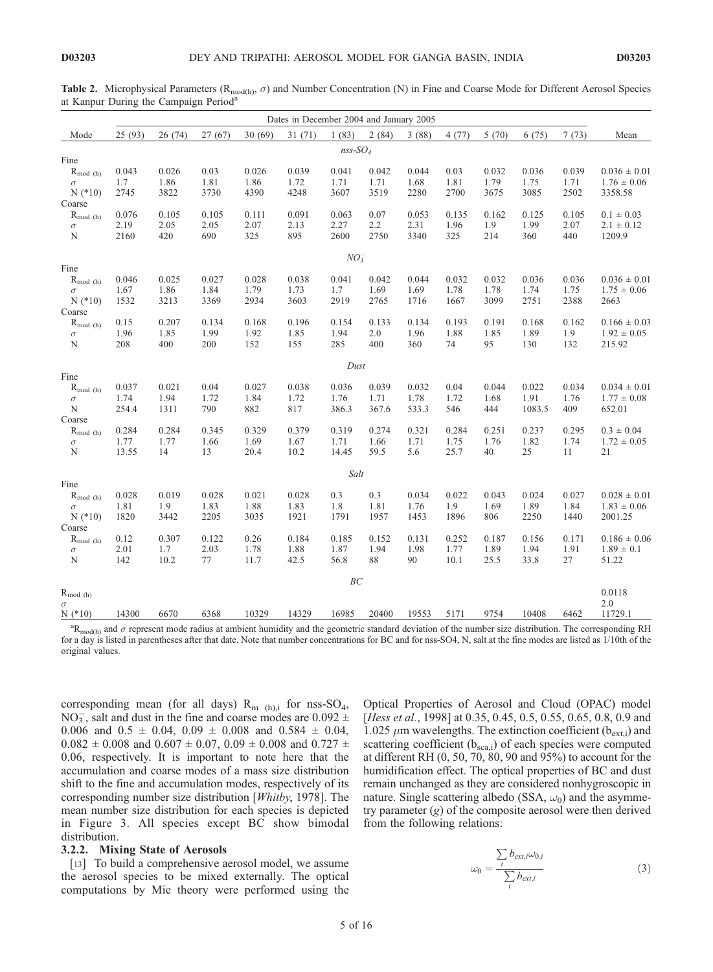**Table 2.** Microphysical Parameters ( $R_{\text{mod}(h)}$ ,  $\sigma$ ) and Number Concentration (N) in Fine and Coarse Mode for Different Aerosol Species at Kanpur During the Campaign Period<sup>a</sup>

|                          |               |               |             |               | Dates in December 2004 and January 2005 |                        |               |               |                 |               |                |             |                                     |
|--------------------------|---------------|---------------|-------------|---------------|-----------------------------------------|------------------------|---------------|---------------|-----------------|---------------|----------------|-------------|-------------------------------------|
| Mode                     | 25 (93)       | 26(74)        | 27(67)      | 30(69)        | 31(71)                                  | 1(83)                  | 2(84)         | 3(88)         | 4(77)           | 5(70)         | 6(75)          | 7(73)       | Mean                                |
|                          |               |               |             |               |                                         | $nss$ -SO <sub>4</sub> |               |               |                 |               |                |             |                                     |
| Fine                     |               |               |             |               |                                         |                        |               |               |                 |               |                |             |                                     |
| $R_{mod(h)}$             | 0.043         | 0.026         | 0.03        | 0.026         | 0.039                                   | 0.041                  | 0.042         | 0.044         | 0.03            | 0.032         | 0.036          | 0.039       | $0.036 \pm 0.01$                    |
| $\sigma$                 | 1.7           | 1.86          | 1.81        | 1.86          | 1.72                                    | 1.71                   | 1.71          | 1.68          | 1.81            | 1.79          | 1.75           | 1.71        | $1.76 \pm 0.06$                     |
| $N$ (*10)                | 2745          | 3822          | 3730        | 4390          | 4248                                    | 3607                   | 3519          | 2280          | 2700            | 3675          | 3085           | 2502        | 3358.58                             |
| Coarse                   |               |               |             |               |                                         |                        |               |               |                 |               |                |             |                                     |
| $R_{mod(h)}$             | 0.076         | 0.105<br>2.05 | 0.105       | 0.111         | 0.091<br>2.13                           | 0.063                  | 0.07          | 0.053         | 0.135           | 0.162         | 0.125          | 0.105       | $0.1 \pm 0.03$                      |
| $\sigma$<br>$\mathbf N$  | 2.19<br>2160  | 420           | 2.05<br>690 | 2.07<br>325   | 895                                     | 2.27<br>2600           | 2.2<br>2750   | 2.31<br>3340  | 1.96<br>325     | 1.9<br>214    | 1.99<br>360    | 2.07<br>440 | $2.1 \pm 0.12$<br>1209.9            |
|                          |               |               |             |               |                                         |                        |               |               |                 |               |                |             |                                     |
|                          |               |               |             |               |                                         | $NO_3^-$               |               |               |                 |               |                |             |                                     |
| Fine                     |               |               |             |               |                                         |                        |               |               |                 |               |                |             |                                     |
| $R_{mod(h)}$             | 0.046         | 0.025         | 0.027       | 0.028         | 0.038                                   | 0.041                  | 0.042         | 0.044         | 0.032           | 0.032         | 0.036          | 0.036       | $0.036 \pm 0.01$                    |
| $\sigma$                 | 1.67          | 1.86          | 1.84        | 1.79          | 1.73                                    | 1.7                    | 1.69          | 1.69          | 1.78            | 1.78          | 1.74           | 1.75        | $1.75 \pm 0.06$                     |
| $N$ (*10)                | 1532          | 3213          | 3369        | 2934          | 3603                                    | 2919                   | 2765          | 1716          | 1667            | 3099          | 2751           | 2388        | 2663                                |
| Coarse                   |               | 0.207         | 0.134       |               | 0.196                                   | 0.154                  |               | 0.134         | 0.193           |               | 0.168          | 0.162       |                                     |
| $R_{mod(h)}$<br>$\sigma$ | 0.15<br>1.96  | 1.85          | 1.99        | 0.168<br>1.92 | 1.85                                    | 1.94                   | 0.133<br>2.0  | 1.96          | 1.88            | 0.191<br>1.85 | 1.89           | 1.9         | $0.166 \pm 0.03$<br>$1.92 \pm 0.05$ |
| N                        | 208           | 400           | 200         | 152           | 155                                     | 285                    | 400           | 360           | 74              | 95            | 130            | 132         | 215.92                              |
|                          |               |               |             |               |                                         |                        |               |               |                 |               |                |             |                                     |
|                          |               |               |             |               |                                         | Dust                   |               |               |                 |               |                |             |                                     |
| Fine                     |               |               |             |               |                                         |                        |               |               |                 |               |                |             |                                     |
| $R_{mod(h)}$             | 0.037         | 0.021         | 0.04        | 0.027         | 0.038                                   | 0.036                  | 0.039         | 0.032         | 0.04            | 0.044         | 0.022          | 0.034       | $0.034 \pm 0.01$                    |
| $\sigma$<br>$\mathbf N$  | 1.74<br>254.4 | 1.94<br>1311  | 1.72<br>790 | 1.84          | 1.72<br>817                             | 1.76<br>386.3          | 1.71<br>367.6 | 1.78<br>533.3 | 1.72<br>546     | 1.68<br>444   | 1.91<br>1083.5 | 1.76<br>409 | $1.77 \pm 0.08$                     |
| Coarse                   |               |               |             | 882           |                                         |                        |               |               |                 |               |                |             | 652.01                              |
| $R_{mod(h)}$             | 0.284         | 0.284         | 0.345       | 0.329         | 0.379                                   | 0.319                  | 0.274         | 0.321         | 0.284           | 0.251         | 0.237          | 0.295       | $0.3 \pm 0.04$                      |
| $\sigma$                 | 1.77          | 1.77          | 1.66        | 1.69          | 1.67                                    | 1.71                   | 1.66          | 1.71          | 1.75            | 1.76          | 1.82           | 1.74        | $1.72 \pm 0.05$                     |
| N                        | 13.55         | 14            | 13          | 20.4          | 10.2                                    | 14.45                  | 59.5          | 5.6           | 25.7            | 40            | 25             | 11          | 21                                  |
|                          |               |               |             |               |                                         |                        |               |               |                 |               |                |             |                                     |
|                          |               |               |             |               |                                         | Salt                   |               |               |                 |               |                |             |                                     |
| Fine                     | 0.028         | 0.019         | 0.028       | 0.021         | 0.028                                   | 0.3                    | 0.3           | 0.034         | 0.022           | 0.043         | 0.024          | 0.027       | $0.028 \pm 0.01$                    |
| $R_{mod(h)}$<br>$\sigma$ | 1.81          | 1.9           | 1.83        | 1.88          | 1.83                                    | 1.8                    | 1.81          | 1.76          | 1.9             | 1.69          | 1.89           | 1.84        | $1.83 \pm 0.06$                     |
| $N$ (*10)                | 1820          | 3442          | 2205        | 3035          | 1921                                    | 1791                   | 1957          | 1453          | 1896            | 806           | 2250           | 1440        | 2001.25                             |
| Coarse                   |               |               |             |               |                                         |                        |               |               |                 |               |                |             |                                     |
| $R_{mod(h)}$             | 0.12          | 0.307         | 0.122       | 0.26          | 0.184                                   | 0.185                  | 0.152         | 0.131         | 0.252           | 0.187         | 0.156          | 0.171       | $0.186 \pm 0.06$                    |
| $\sigma$                 | 2.01          | 1.7           | 2.03        | 1.78          | 1.88                                    | 1.87                   | 1.94          | 1.98          | 1.77            | 1.89          | 1.94           | 1.91        | $1.89 \pm 0.1$                      |
| N                        | 142           | 10.2          | 77          | 11.7          | 42.5                                    | 56.8                   | 88            | 90            | 10.1            | 25.5          | 33.8           | 27          | 51.22                               |
|                          |               |               |             |               |                                         | BC                     |               |               |                 |               |                |             |                                     |
| $R_{mod(h)}$             |               |               |             |               |                                         |                        |               |               |                 |               |                |             | 0.0118                              |
| $\sigma$                 |               |               |             |               |                                         |                        |               |               |                 |               |                |             | 2.0                                 |
| $N$ (*10)                | 14300         | 6670          | 6368        | 10329         | 14329                                   | 16985                  | 20400         | 19553         | 5171            | 9754          | 10408          | 6462        | 11729.1                             |
| $\Omega$                 |               |               |             |               |                                         |                        |               |               | $\Delta$ $\sim$ |               |                |             |                                     |

 ${}^{a}R_{\text{mod}(h)}$  and  $\sigma$  represent mode radius at ambient humidity and the geometric standard deviation of the number size distribution. The corresponding RH for a day is listed in parentheses after that date. Note that number concentrations for BC and for nss-SO4, N, salt at the fine modes are listed as 1/10th of the original values.

corresponding mean (for all days)  $R_{m}$  (h), for nss-SO<sub>4</sub>, NO<sub>3</sub>, salt and dust in the fine and coarse modes are  $0.092 \pm$ 0.006 and  $0.5 \pm 0.04$ ,  $0.09 \pm 0.008$  and  $0.584 \pm 0.04$ ,  $0.082 \pm 0.008$  and  $0.607 \pm 0.07$ ,  $0.09 \pm 0.008$  and  $0.727 \pm 0.008$ 0.06, respectively. It is important to note here that the accumulation and coarse modes of a mass size distribution shift to the fine and accumulation modes, respectively of its corresponding number size distribution [Whitby, 1978]. The mean number size distribution for each species is depicted in Figure 3. All species except BC show bimodal distribution.

#### 3.2.2. Mixing State of Aerosols

[13] To build a comprehensive aerosol model, we assume the aerosol species to be mixed externally. The optical computations by Mie theory were performed using the Optical Properties of Aerosol and Cloud (OPAC) model [*Hess et al.*, 1998] at 0.35, 0.45, 0.5, 0.55, 0.65, 0.8, 0.9 and 1.025  $\mu$ m wavelengths. The extinction coefficient (b<sub>ext,i</sub>) and scattering coefficient  $(b_{\text{sea},i})$  of each species were computed at different RH (0, 50, 70, 80, 90 and 95%) to account for the humidification effect. The optical properties of BC and dust remain unchanged as they are considered nonhygroscopic in nature. Single scattering albedo (SSA,  $\omega_0$ ) and the asymmetry parameter  $(g)$  of the composite aerosol were then derived from the following relations:

$$
\omega_0 = \frac{\sum_{i} b_{ext,i} \omega_{0,i}}{\sum_{i} b_{ext,i}}
$$
(3)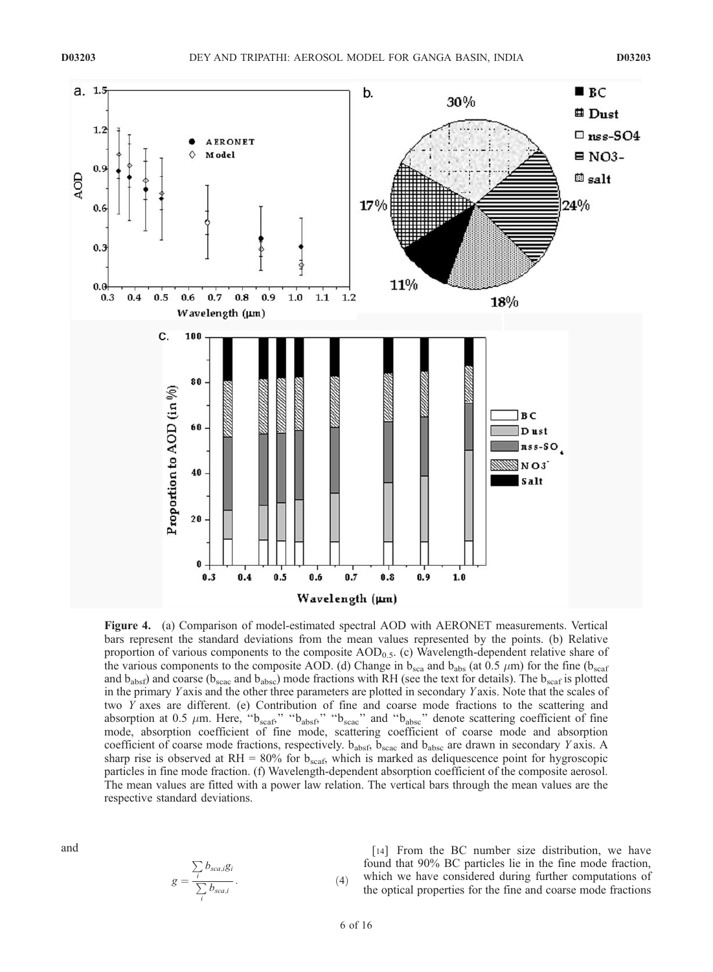

Figure 4. (a) Comparison of model-estimated spectral AOD with AERONET measurements. Vertical bars represent the standard deviations from the mean values represented by the points. (b) Relative proportion of various components to the composite  $AOD<sub>0.5</sub>$ . (c) Wavelength-dependent relative share of the various components to the composite AOD. (d) Change in  $b_{\rm sca}$  and  $b_{\rm abs}$  (at 0.5  $\mu$ m) for the fine ( $b_{\rm scaf}$ ) and  $b_{\text{absf}}$ ) and coarse ( $b_{\text{scac}}$  and  $b_{\text{absc}}$ ) mode fractions with RH (see the text for details). The  $b_{\text{scaf}}$  is plotted in the primary Y axis and the other three parameters are plotted in secondary Y axis. Note that the scales of two Y axes are different. (e) Contribution of fine and coarse mode fractions to the scattering and absorption at 0.5  $\mu$ m. Here, " $b_{scat}$ ", " $b_{abst}$ ," " $b_{scac}$ " and " $b_{absc}$ " denote scattering coefficient of fine mode, absorption coefficient of fine mode, scattering coefficient of coarse mode and absorption coefficient of coarse mode fractions, respectively.  $b_{absf}$ ,  $b_{scac}$  and  $b_{absc}$  are drawn in secondary Y axis. A sharp rise is observed at RH =  $80\%$  for  $b_{scaf}$ , which is marked as deliquescence point for hygroscopic particles in fine mode fraction. (f) Wavelength-dependent absorption coefficient of the composite aerosol. The mean values are fitted with a power law relation. The vertical bars through the mean values are the respective standard deviations.

and

$$
g = \frac{\sum_{i} b_{sca,i}g_i}{\sum_{i} b_{sca,i}}.
$$
 (4)

[14] From the BC number size distribution, we have found that 90% BC particles lie in the fine mode fraction, which we have considered during further computations of the optical properties for the fine and coarse mode fractions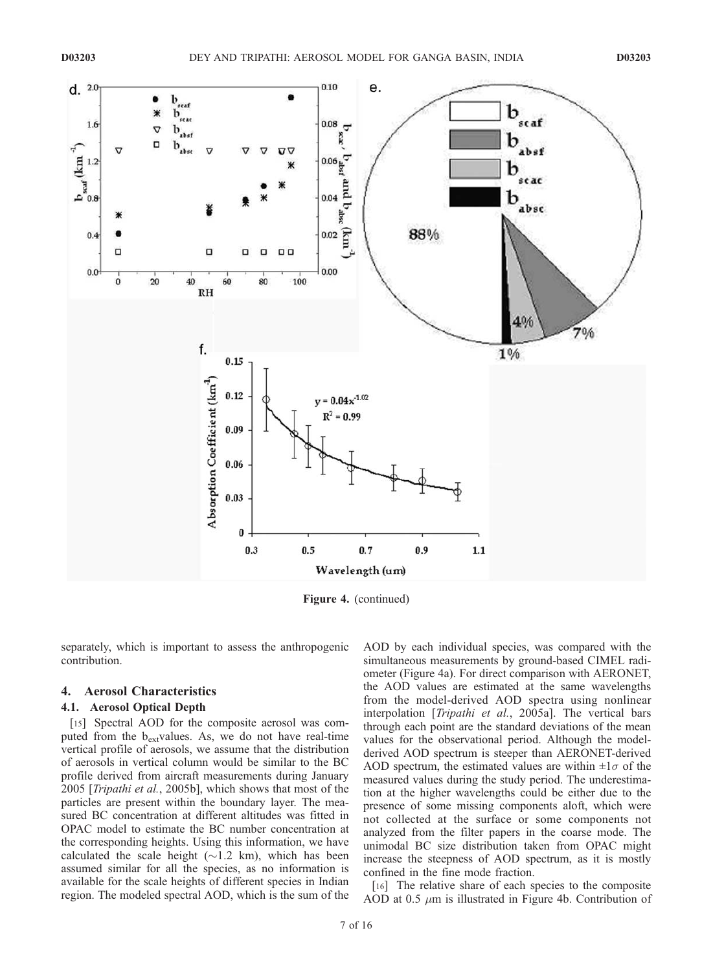

Figure 4. (continued)

separately, which is important to assess the anthropogenic contribution.

# 4. Aerosol Characteristics

# 4.1. Aerosol Optical Depth

[15] Spectral AOD for the composite aerosol was computed from the  $b_{\text{ext}}$ values. As, we do not have real-time vertical profile of aerosols, we assume that the distribution of aerosols in vertical column would be similar to the BC profile derived from aircraft measurements during January 2005 [Tripathi et al., 2005b], which shows that most of the particles are present within the boundary layer. The measured BC concentration at different altitudes was fitted in OPAC model to estimate the BC number concentration at the corresponding heights. Using this information, we have calculated the scale height ( $\sim$ 1.2 km), which has been assumed similar for all the species, as no information is available for the scale heights of different species in Indian region. The modeled spectral AOD, which is the sum of the

AOD by each individual species, was compared with the simultaneous measurements by ground-based CIMEL radiometer (Figure 4a). For direct comparison with AERONET, the AOD values are estimated at the same wavelengths from the model-derived AOD spectra using nonlinear interpolation [Tripathi et al., 2005a]. The vertical bars through each point are the standard deviations of the mean values for the observational period. Although the modelderived AOD spectrum is steeper than AERONET-derived AOD spectrum, the estimated values are within  $\pm 1\sigma$  of the measured values during the study period. The underestimation at the higher wavelengths could be either due to the presence of some missing components aloft, which were not collected at the surface or some components not analyzed from the filter papers in the coarse mode. The unimodal BC size distribution taken from OPAC might increase the steepness of AOD spectrum, as it is mostly confined in the fine mode fraction.

[16] The relative share of each species to the composite AOD at 0.5  $\mu$ m is illustrated in Figure 4b. Contribution of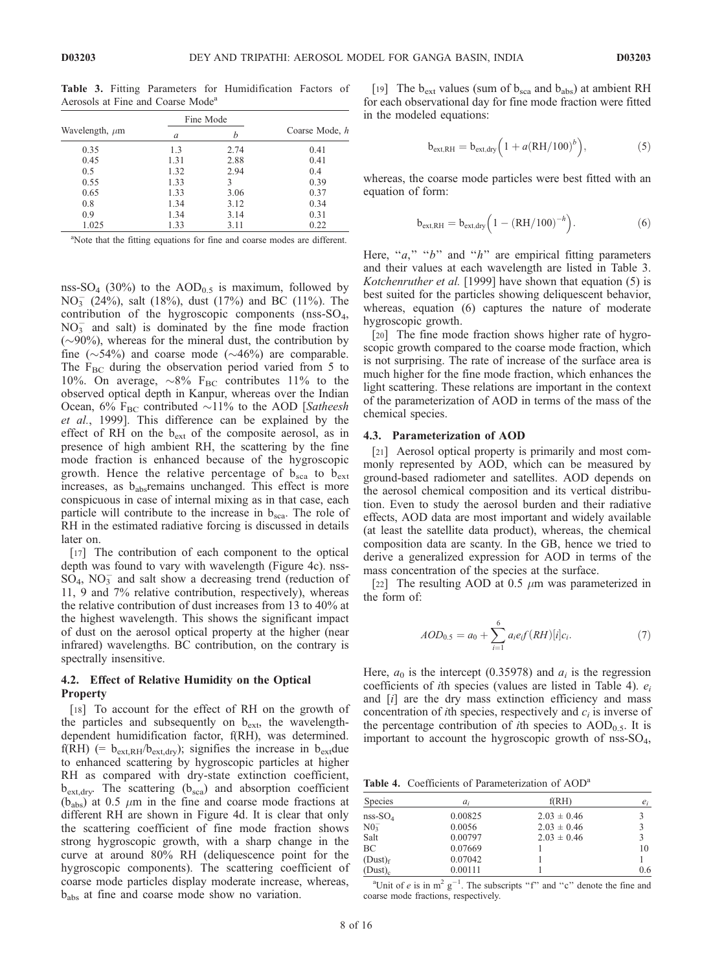|                     |      | Fine Mode | Coarse Mode, h |  |  |
|---------------------|------|-----------|----------------|--|--|
| Wavelength, $\mu$ m | a    |           |                |  |  |
| 0.35                | 1.3  | 2.74      | 0.41           |  |  |
| 0.45                | 1.31 | 2.88      | 0.41           |  |  |
| 0.5                 | 1.32 | 2.94      | 0.4            |  |  |
| 0.55                | 1.33 | 3         | 0.39           |  |  |
| 0.65                | 1.33 | 3.06      | 0.37           |  |  |
| 0.8                 | 1.34 | 3.12      | 0.34           |  |  |
| 0.9                 | 1.34 | 3.14      | 0.31           |  |  |
| 1.025               | 1.33 | 3.11      | 0.22           |  |  |

Table 3. Fitting Parameters for Humidification Factors of Aerosols at Fine and Coarse Mode<sup>a</sup>

<sup>a</sup>Note that the fitting equations for fine and coarse modes are different.

nss-SO<sub>4</sub> (30%) to the AOD<sub>0.5</sub> is maximum, followed by NO<sub>3</sub> (24%), salt (18%), dust (17%) and BC (11%). The contribution of the hygroscopic components (nss-SO<sub>4</sub>,  $NO<sub>3</sub><sup>-</sup>$  and salt) is dominated by the fine mode fraction  $(\sim 90\%)$ , whereas for the mineral dust, the contribution by fine  $(\sim 54\%)$  and coarse mode  $(\sim 46\%)$  are comparable. The  $F_{BC}$  during the observation period varied from 5 to 10%. On average,  $\sim 8\%$  F<sub>BC</sub> contributes 11% to the observed optical depth in Kanpur, whereas over the Indian Ocean, 6%  $F_{BC}$  contributed  $\sim$ 11% to the AOD [Satheesh et al., 1999]. This difference can be explained by the effect of RH on the  $b_{ext}$  of the composite aerosol, as in presence of high ambient RH, the scattering by the fine mode fraction is enhanced because of the hygroscopic growth. Hence the relative percentage of  $b_{\rm sca}$  to  $b_{\rm ext}$ increases, as b<sub>abs</sub>remains unchanged. This effect is more conspicuous in case of internal mixing as in that case, each particle will contribute to the increase in  $b_{\rm sca}$ . The role of RH in the estimated radiative forcing is discussed in details later on.

[17] The contribution of each component to the optical depth was found to vary with wavelength (Figure 4c). nss- $SO_4$ , NO<sub>3</sub> and salt show a decreasing trend (reduction of 11, 9 and 7% relative contribution, respectively), whereas the relative contribution of dust increases from 13 to 40% at the highest wavelength. This shows the significant impact of dust on the aerosol optical property at the higher (near infrared) wavelengths. BC contribution, on the contrary is spectrally insensitive.

## 4.2. Effect of Relative Humidity on the Optical **Property**

[18] To account for the effect of RH on the growth of the particles and subsequently on  $b_{\text{ext}}$ , the wavelengthdependent humidification factor, f(RH), was determined.  $f(RH)$  (=  $b_{ext,RH}/b_{ext,dry}$ ); signifies the increase in  $b_{ext}$ due to enhanced scattering by hygroscopic particles at higher RH as compared with dry-state extinction coefficient,  $b_{\text{ext,dry}}$ . The scattering  $(b_{\text{sea}})$  and absorption coefficient  $(b<sub>abs</sub>)$  at 0.5  $\mu$ m in the fine and coarse mode fractions at different RH are shown in Figure 4d. It is clear that only the scattering coefficient of fine mode fraction shows strong hygroscopic growth, with a sharp change in the curve at around 80% RH (deliquescence point for the hygroscopic components). The scattering coefficient of coarse mode particles display moderate increase, whereas, babs at fine and coarse mode show no variation.

[19] The  $b_{\text{ext}}$  values (sum of  $b_{\text{sea}}$  and  $b_{\text{abs}}$ ) at ambient RH for each observational day for fine mode fraction were fitted in the modeled equations:

$$
b_{ext,RH} = b_{ext, dry} \left( 1 + a (RH/100)^b \right), \tag{5}
$$

whereas, the coarse mode particles were best fitted with an equation of form:

$$
b_{ext, RH} = b_{ext, dry} \Big( 1 - (RH/100)^{-h} \Big). \tag{6}
$$

Here, " $a$ ," " $b$ " and " $h$ " are empirical fitting parameters and their values at each wavelength are listed in Table 3. Kotchenruther et al. [1999] have shown that equation (5) is best suited for the particles showing deliquescent behavior, whereas, equation (6) captures the nature of moderate hygroscopic growth.

[20] The fine mode fraction shows higher rate of hygroscopic growth compared to the coarse mode fraction, which is not surprising. The rate of increase of the surface area is much higher for the fine mode fraction, which enhances the light scattering. These relations are important in the context of the parameterization of AOD in terms of the mass of the chemical species.

#### 4.3. Parameterization of AOD

[21] Aerosol optical property is primarily and most commonly represented by AOD, which can be measured by ground-based radiometer and satellites. AOD depends on the aerosol chemical composition and its vertical distribution. Even to study the aerosol burden and their radiative effects, AOD data are most important and widely available (at least the satellite data product), whereas, the chemical composition data are scanty. In the GB, hence we tried to derive a generalized expression for AOD in terms of the mass concentration of the species at the surface.

[22] The resulting AOD at 0.5  $\mu$ m was parameterized in the form of:

$$
AOD_{0.5} = a_0 + \sum_{i=1}^{6} a_i e_i f(RH)[i]c_i.
$$
 (7)

Here,  $a_0$  is the intercept (0.35978) and  $a_i$  is the regression coefficients of *i*th species (values are listed in Table 4).  $e_i$ and  $[i]$  are the dry mass extinction efficiency and mass concentration of *i*th species, respectively and  $c_i$  is inverse of the percentage contribution of *i*th species to  $AOD<sub>0.5</sub>$ . It is important to account the hygroscopic growth of nss- $SO_4$ ,

Table 4. Coefficients of Parameterization of AOD<sup>a</sup>

| <b>Species</b>      | $a_i$   | f(RH)           | $e_i$ |
|---------------------|---------|-----------------|-------|
| $nss-SO4$           | 0.00825 | $2.03 \pm 0.46$ | 3     |
| N0 <sub>3</sub>     | 0.0056  | $2.03 \pm 0.46$ | 3     |
| Salt                | 0.00797 | $2.03 \pm 0.46$ | 3     |
| BC                  | 0.07669 |                 | 10    |
| (Dust) <sub>f</sub> | 0.07042 |                 |       |
| $(Dust)_{c}$        | 0.00111 |                 | 0.6   |

<sup>a</sup>Unit of e is in  $m^2$  g<sup>-1</sup>. The subscripts "f" and "c" denote the fine and coarse mode fractions, respectively.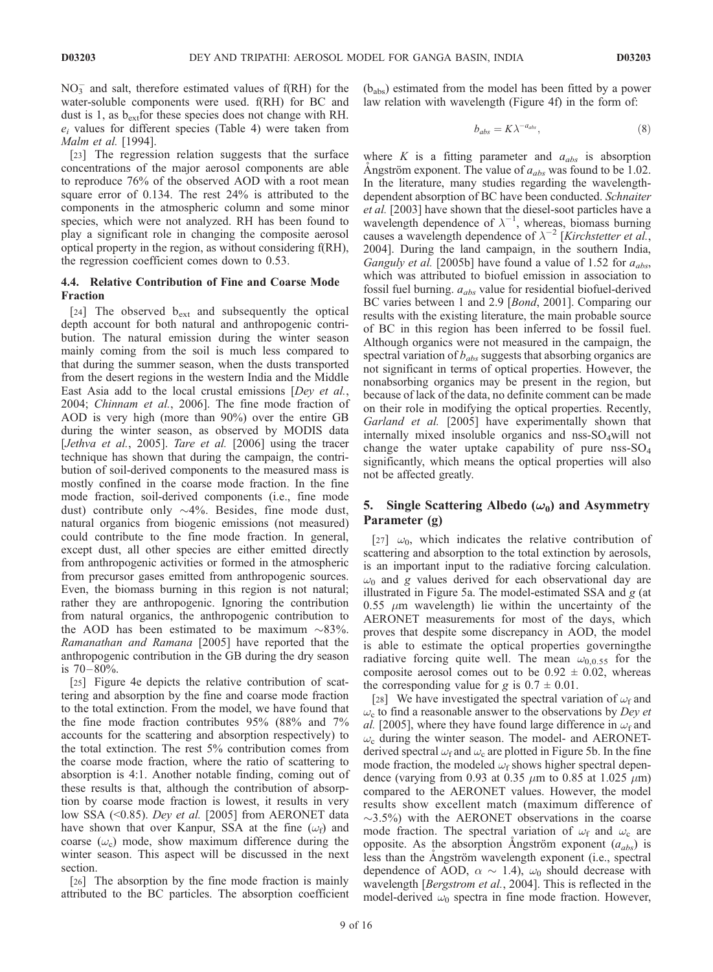$NO<sub>3</sub><sup>-</sup>$  and salt, therefore estimated values of f(RH) for the water-soluble components were used. f(RH) for BC and dust is 1, as  $b_{\text{ext}}$  for these species does not change with RH.  $e_i$  values for different species (Table 4) were taken from Malm et al. [1994].

[23] The regression relation suggests that the surface concentrations of the major aerosol components are able to reproduce 76% of the observed AOD with a root mean square error of 0.134. The rest 24% is attributed to the components in the atmospheric column and some minor species, which were not analyzed. RH has been found to play a significant role in changing the composite aerosol optical property in the region, as without considering f(RH), the regression coefficient comes down to 0.53.

# 4.4. Relative Contribution of Fine and Coarse Mode Fraction

[24] The observed b<sub>ext</sub> and subsequently the optical depth account for both natural and anthropogenic contribution. The natural emission during the winter season mainly coming from the soil is much less compared to that during the summer season, when the dusts transported from the desert regions in the western India and the Middle East Asia add to the local crustal emissions [Dey et al., 2004; Chinnam et al., 2006]. The fine mode fraction of AOD is very high (more than 90%) over the entire GB during the winter season, as observed by MODIS data [*Jethva et al., 2005*]. Tare et al. [2006] using the tracer technique has shown that during the campaign, the contribution of soil-derived components to the measured mass is mostly confined in the coarse mode fraction. In the fine mode fraction, soil-derived components (i.e., fine mode dust) contribute only  $\sim$ 4%. Besides, fine mode dust, natural organics from biogenic emissions (not measured) could contribute to the fine mode fraction. In general, except dust, all other species are either emitted directly from anthropogenic activities or formed in the atmospheric from precursor gases emitted from anthropogenic sources. Even, the biomass burning in this region is not natural; rather they are anthropogenic. Ignoring the contribution from natural organics, the anthropogenic contribution to the AOD has been estimated to be maximum  $\sim$ 83%. Ramanathan and Ramana [2005] have reported that the anthropogenic contribution in the GB during the dry season is  $70 - 80\%$ .

[25] Figure 4e depicts the relative contribution of scattering and absorption by the fine and coarse mode fraction to the total extinction. From the model, we have found that the fine mode fraction contributes 95% (88% and 7% accounts for the scattering and absorption respectively) to the total extinction. The rest 5% contribution comes from the coarse mode fraction, where the ratio of scattering to absorption is 4:1. Another notable finding, coming out of these results is that, although the contribution of absorption by coarse mode fraction is lowest, it results in very low SSA (<0.85). Dey et al. [2005] from AERONET data have shown that over Kanpur, SSA at the fine  $(\omega_f)$  and coarse  $(\omega_c)$  mode, show maximum difference during the winter season. This aspect will be discussed in the next section.

[26] The absorption by the fine mode fraction is mainly attributed to the BC particles. The absorption coefficient

 $(b<sub>abs</sub>)$  estimated from the model has been fitted by a power law relation with wavelength (Figure 4f) in the form of:

$$
b_{abs} = K\lambda^{-a_{abs}},\tag{8}
$$

where  $K$  is a fitting parameter and  $a_{abs}$  is absorption Angström exponent. The value of  $a_{abs}$  was found to be 1.02. In the literature, many studies regarding the wavelengthdependent absorption of BC have been conducted. Schnaiter et al. [2003] have shown that the diesel-soot particles have a wavelength dependence of  $\lambda^{-1}$ , whereas, biomass burning causes a wavelength dependence of  $\lambda^{-2}$  [Kirchstetter et al., 2004]. During the land campaign, in the southern India, *Ganguly et al.* [2005b] have found a value of 1.52 for  $a_{abs}$ , which was attributed to biofuel emission in association to fossil fuel burning.  $a_{abs}$  value for residential biofuel-derived BC varies between 1 and 2.9 [Bond, 2001]. Comparing our results with the existing literature, the main probable source of BC in this region has been inferred to be fossil fuel. Although organics were not measured in the campaign, the spectral variation of  $b_{abs}$  suggests that absorbing organics are not significant in terms of optical properties. However, the nonabsorbing organics may be present in the region, but because of lack of the data, no definite comment can be made on their role in modifying the optical properties. Recently, Garland et al. [2005] have experimentally shown that internally mixed insoluble organics and nss- $SO_4$ will not change the water uptake capability of pure  $nss-SO<sub>4</sub>$ significantly, which means the optical properties will also not be affected greatly.

# 5. Single Scattering Albedo ( $\omega_0$ ) and Asymmetry Parameter (g)

[27]  $\omega_0$ , which indicates the relative contribution of scattering and absorption to the total extinction by aerosols, is an important input to the radiative forcing calculation.  $\omega_0$  and g values derived for each observational day are illustrated in Figure 5a. The model-estimated SSA and  $g$  (at  $0.55 \mu m$  wavelength) lie within the uncertainty of the AERONET measurements for most of the days, which proves that despite some discrepancy in AOD, the model is able to estimate the optical properties governingthe radiative forcing quite well. The mean  $\omega_{0,0.55}$  for the composite aerosol comes out to be  $0.92 \pm 0.02$ , whereas the corresponding value for g is  $0.7 \pm 0.01$ .

[28] We have investigated the spectral variation of  $\omega_f$  and  $\omega_c$  to find a reasonable answer to the observations by Dey et al. [2005], where they have found large difference in  $\omega_f$  and  $\omega_c$  during the winter season. The model- and AERONETderived spectral  $\omega_f$  and  $\omega_c$  are plotted in Figure 5b. In the fine mode fraction, the modeled  $\omega_f$  shows higher spectral dependence (varying from 0.93 at 0.35  $\mu$ m to 0.85 at 1.025  $\mu$ m) compared to the AERONET values. However, the model results show excellent match (maximum difference of  $\sim$ 3.5%) with the AERONET observations in the coarse mode fraction. The spectral variation of  $\omega_f$  and  $\omega_c$  are opposite. As the absorption Angström exponent  $(a_{abs})$  is less than the Angström wavelength exponent (i.e., spectral dependence of AOD,  $\alpha \sim 1.4$ ),  $\omega_0$  should decrease with wavelength [Bergstrom et al., 2004]. This is reflected in the model-derived  $\omega_0$  spectra in fine mode fraction. However,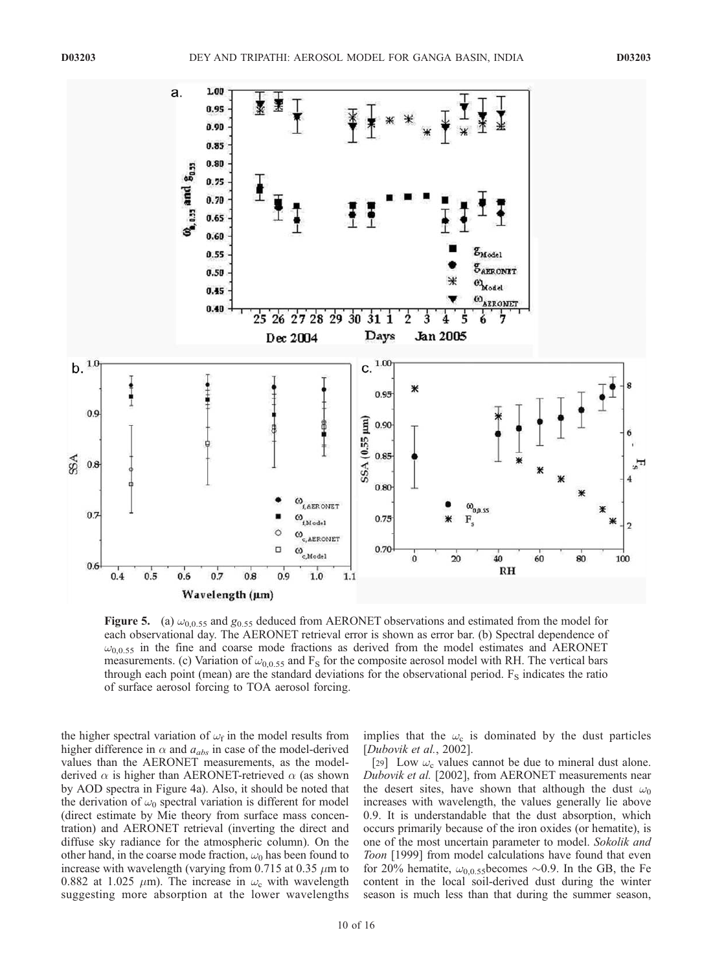

**Figure 5.** (a)  $\omega_{0.0.55}$  and  $g_{0.55}$  deduced from AERONET observations and estimated from the model for each observational day. The AERONET retrieval error is shown as error bar. (b) Spectral dependence of  $\omega_{0.0.55}$  in the fine and coarse mode fractions as derived from the model estimates and AERONET measurements. (c) Variation of  $\omega_{0.0.55}$  and F<sub>S</sub> for the composite aerosol model with RH. The vertical bars through each point (mean) are the standard deviations for the observational period.  $F_s$  indicates the ratio of surface aerosol forcing to TOA aerosol forcing.

the higher spectral variation of  $\omega_f$  in the model results from higher difference in  $\alpha$  and  $a_{abs}$  in case of the model-derived values than the AERONET measurements, as the modelderived  $\alpha$  is higher than AERONET-retrieved  $\alpha$  (as shown by AOD spectra in Figure 4a). Also, it should be noted that the derivation of  $\omega_0$  spectral variation is different for model (direct estimate by Mie theory from surface mass concentration) and AERONET retrieval (inverting the direct and diffuse sky radiance for the atmospheric column). On the other hand, in the coarse mode fraction,  $\omega_0$  has been found to increase with wavelength (varying from 0.715 at 0.35  $\mu$ m to 0.882 at 1.025  $\mu$ m). The increase in  $\omega_c$  with wavelength suggesting more absorption at the lower wavelengths implies that the  $\omega_c$  is dominated by the dust particles [Dubovik et al., 2002].

[29] Low  $\omega_c$  values cannot be due to mineral dust alone. Dubovik et al. [2002], from AERONET measurements near the desert sites, have shown that although the dust  $\omega_0$ increases with wavelength, the values generally lie above 0.9. It is understandable that the dust absorption, which occurs primarily because of the iron oxides (or hematite), is one of the most uncertain parameter to model. Sokolik and Toon [1999] from model calculations have found that even for 20% hematite,  $\omega_{0,0.55}$ becomes  $\sim$ 0.9. In the GB, the Fe content in the local soil-derived dust during the winter season is much less than that during the summer season,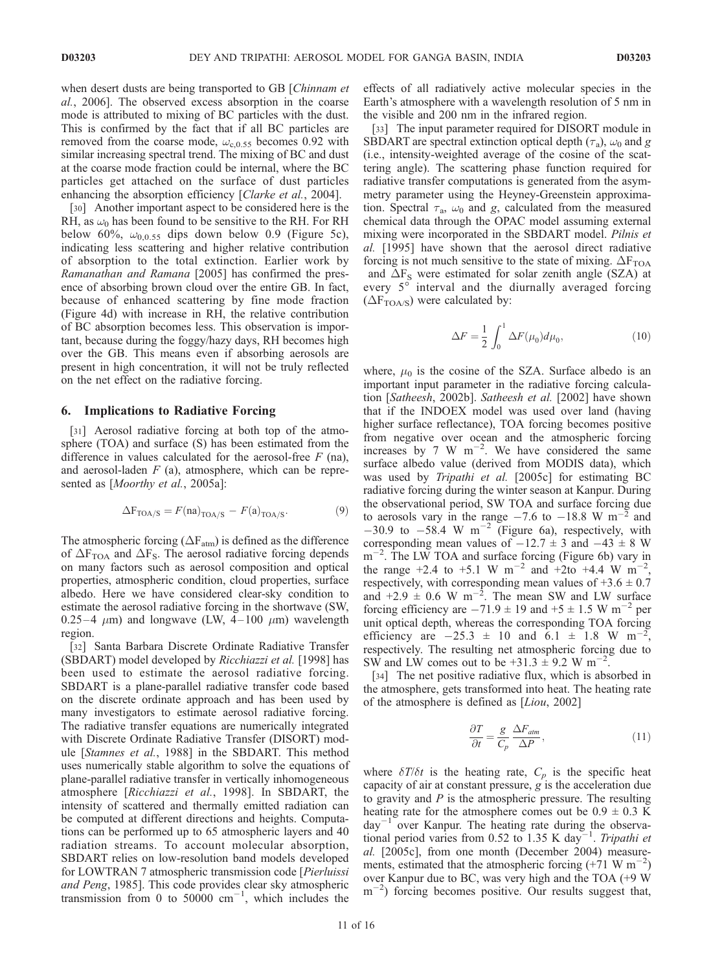when desert dusts are being transported to GB [Chinnam et al., 2006]. The observed excess absorption in the coarse mode is attributed to mixing of BC particles with the dust. This is confirmed by the fact that if all BC particles are removed from the coarse mode,  $\omega_{c,0.55}$  becomes 0.92 with similar increasing spectral trend. The mixing of BC and dust at the coarse mode fraction could be internal, where the BC particles get attached on the surface of dust particles enhancing the absorption efficiency [Clarke et al., 2004].

[30] Another important aspect to be considered here is the RH, as  $\omega_0$  has been found to be sensitive to the RH. For RH below 60%,  $\omega_{0,0.55}$  dips down below 0.9 (Figure 5c), indicating less scattering and higher relative contribution of absorption to the total extinction. Earlier work by Ramanathan and Ramana [2005] has confirmed the presence of absorbing brown cloud over the entire GB. In fact, because of enhanced scattering by fine mode fraction (Figure 4d) with increase in RH, the relative contribution of BC absorption becomes less. This observation is important, because during the foggy/hazy days, RH becomes high over the GB. This means even if absorbing aerosols are present in high concentration, it will not be truly reflected on the net effect on the radiative forcing.

#### 6. Implications to Radiative Forcing

[31] Aerosol radiative forcing at both top of the atmosphere (TOA) and surface (S) has been estimated from the difference in values calculated for the aerosol-free  $F$  (na), and aerosol-laden  $F$  (a), atmosphere, which can be represented as [Moorthy et al., 2005a]:

$$
\Delta F_{\text{TOA/S}} = F(\text{na})_{\text{TOA/S}} - F(\text{a})_{\text{TOA/S}}.\tag{9}
$$

The atmospheric forcing ( $\Delta F_{atm}$ ) is defined as the difference of  $\Delta F_{TOA}$  and  $\Delta F_S$ . The aerosol radiative forcing depends on many factors such as aerosol composition and optical properties, atmospheric condition, cloud properties, surface albedo. Here we have considered clear-sky condition to estimate the aerosol radiative forcing in the shortwave (SW, 0.25 – 4  $\mu$ m) and longwave (LW, 4 – 100  $\mu$ m) wavelength region.

[32] Santa Barbara Discrete Ordinate Radiative Transfer (SBDART) model developed by *Ricchiazzi et al.* [1998] has been used to estimate the aerosol radiative forcing. SBDART is a plane-parallel radiative transfer code based on the discrete ordinate approach and has been used by many investigators to estimate aerosol radiative forcing. The radiative transfer equations are numerically integrated with Discrete Ordinate Radiative Transfer (DISORT) module [Stamnes et al., 1988] in the SBDART. This method uses numerically stable algorithm to solve the equations of plane-parallel radiative transfer in vertically inhomogeneous atmosphere [Ricchiazzi et al., 1998]. In SBDART, the intensity of scattered and thermally emitted radiation can be computed at different directions and heights. Computations can be performed up to 65 atmospheric layers and 40 radiation streams. To account molecular absorption, SBDART relies on low-resolution band models developed for LOWTRAN 7 atmospheric transmission code [Pierluissi and Peng, 1985]. This code provides clear sky atmospheric transmission from 0 to  $50000 \text{ cm}^{-1}$ , which includes the

effects of all radiatively active molecular species in the Earth's atmosphere with a wavelength resolution of 5 nm in the visible and 200 nm in the infrared region.

[33] The input parameter required for DISORT module in SBDART are spectral extinction optical depth  $(\tau_a)$ ,  $\omega_0$  and g (i.e., intensity-weighted average of the cosine of the scattering angle). The scattering phase function required for radiative transfer computations is generated from the asymmetry parameter using the Heyney-Greenstein approximation. Spectral  $\tau_a$ ,  $\omega_0$  and g, calculated from the measured chemical data through the OPAC model assuming external mixing were incorporated in the SBDART model. Pilnis et al. [1995] have shown that the aerosol direct radiative forcing is not much sensitive to the state of mixing.  $\Delta F_{\text{TOA}}$ and  $\Delta F_S$  were estimated for solar zenith angle (SZA) at every 5° interval and the diurnally averaged forcing  $(\Delta F_{TOA/S})$  were calculated by:

$$
\Delta F = \frac{1}{2} \int_0^1 \Delta F(\mu_0) d\mu_0,\tag{10}
$$

where,  $\mu_0$  is the cosine of the SZA. Surface albedo is an important input parameter in the radiative forcing calculation [Satheesh, 2002b]. Satheesh et al. [2002] have shown that if the INDOEX model was used over land (having higher surface reflectance), TOA forcing becomes positive from negative over ocean and the atmospheric forcing increases by 7 W  $m^{-2}$ . We have considered the same surface albedo value (derived from MODIS data), which was used by Tripathi et al. [2005c] for estimating BC radiative forcing during the winter season at Kanpur. During the observational period, SW TOA and surface forcing due to aerosols vary in the range  $-7.6$  to  $-18.8$  W m<sup>-2</sup> and  $-30.9$  to  $-58.4$  W m<sup>-2</sup> (Figure 6a), respectively, with corresponding mean values of  $-12.7 \pm 3$  and  $-43 \pm 8$  W m<sup>-2</sup>. The LW TOA and surface forcing (Figure 6b) vary in the range  $+2.4$  to  $+5.1$  W m<sup>-2</sup> and  $+2$ to  $+4.4$  W m<sup>-2</sup> , respectively, with corresponding mean values of  $+3.6 \pm 0.7$ and  $+2.9 \pm 0.6$  W m<sup>-2</sup>. The mean SW and LW surface forcing efficiency are  $-71.9 \pm 19$  and  $+5 \pm 1.5$  W m<sup>-2</sup> per unit optical depth, whereas the corresponding TOA forcing efficiency are  $-25.3 \pm 10$  and  $6.1 \pm 1.8$  W m<sup>-2</sup>, respectively. The resulting net atmospheric forcing due to SW and LW comes out to be  $+31.3 \pm 9.2$  W m<sup>-2</sup>.

[34] The net positive radiative flux, which is absorbed in the atmosphere, gets transformed into heat. The heating rate of the atmosphere is defined as [Liou, 2002]

$$
\frac{\partial T}{\partial t} = \frac{g}{C_p} \frac{\Delta F_{atm}}{\Delta P},\tag{11}
$$

where  $\delta T/\delta t$  is the heating rate,  $C_p$  is the specific heat capacity of air at constant pressure, g is the acceleration due to gravity and  $P$  is the atmospheric pressure. The resulting heating rate for the atmosphere comes out be  $0.9 \pm 0.3$  K day<sup>-1</sup> over Kanpur. The heating rate during the observational period varies from 0.52 to 1.35 K day<sup>-1</sup>. Tripathi et al. [2005c], from one month (December 2004) measurements, estimated that the atmospheric forcing  $(+71 \text{ W m}^{-2})$ over Kanpur due to BC, was very high and the TOA (+9 W m<sup>-2</sup>) forcing becomes positive. Our results suggest that,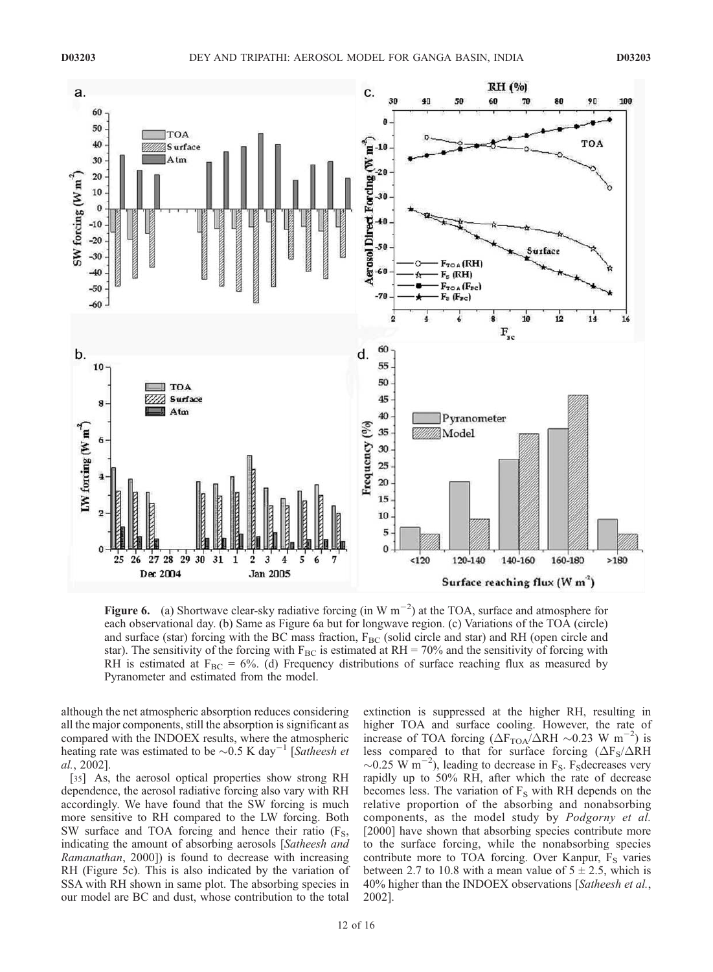

Figure 6. (a) Shortwave clear-sky radiative forcing (in W  $m^{-2}$ ) at the TOA, surface and atmosphere for each observational day. (b) Same as Figure 6a but for longwave region. (c) Variations of the TOA (circle) and surface (star) forcing with the BC mass fraction,  $F_{BC}$  (solid circle and star) and RH (open circle and star). The sensitivity of the forcing with  $F_{BC}$  is estimated at RH = 70% and the sensitivity of forcing with RH is estimated at  $F_{BC} = 6\%$ . (d) Frequency distributions of surface reaching flux as measured by Pyranometer and estimated from the model.

although the net atmospheric absorption reduces considering all the major components, still the absorption is significant as compared with the INDOEX results, where the atmospheric heating rate was estimated to be  $\sim 0.5$  K day<sup>-1</sup> [Satheesh et al., 2002].

[35] As, the aerosol optical properties show strong RH dependence, the aerosol radiative forcing also vary with RH accordingly. We have found that the SW forcing is much more sensitive to RH compared to the LW forcing. Both SW surface and TOA forcing and hence their ratio  $(F<sub>S</sub>,$ indicating the amount of absorbing aerosols [Satheesh and Ramanathan, 2000]) is found to decrease with increasing RH (Figure 5c). This is also indicated by the variation of SSA with RH shown in same plot. The absorbing species in our model are BC and dust, whose contribution to the total

extinction is suppressed at the higher RH, resulting in higher TOA and surface cooling. However, the rate of increase of TOA forcing  $(\Delta F_{TOA}/\Delta RH \sim 0.23 \text{ W m}^{-2})$  is less compared to that for surface forcing  $(\Delta F_S / \Delta RH)$  $\sim$ 0.25 W m<sup>-2</sup>), leading to decrease in F<sub>S</sub>. F<sub>S</sub>decreases very rapidly up to 50% RH, after which the rate of decrease becomes less. The variation of  $F<sub>S</sub>$  with RH depends on the relative proportion of the absorbing and nonabsorbing components, as the model study by Podgorny et al. [2000] have shown that absorbing species contribute more to the surface forcing, while the nonabsorbing species contribute more to TOA forcing. Over Kanpur,  $F_S$  varies between 2.7 to 10.8 with a mean value of  $5 \pm 2.5$ , which is 40% higher than the INDOEX observations [Satheesh et al., 2002].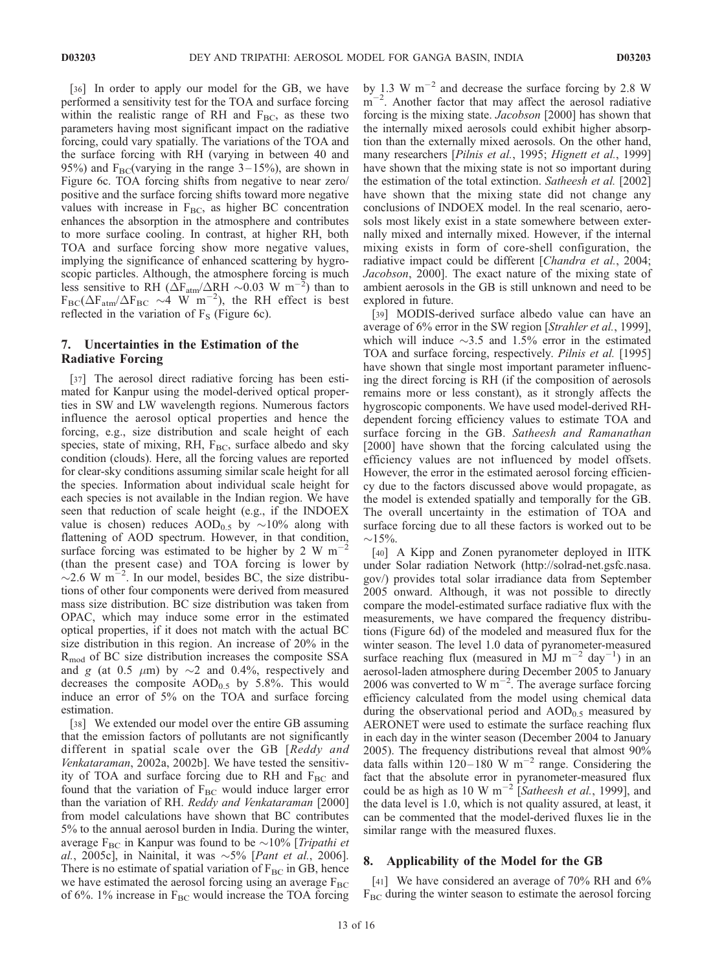[36] In order to apply our model for the GB, we have performed a sensitivity test for the TOA and surface forcing within the realistic range of RH and  $F_{BC}$ , as these two parameters having most significant impact on the radiative forcing, could vary spatially. The variations of the TOA and the surface forcing with RH (varying in between 40 and 95%) and  $F_{BC}$ (varying in the range 3–15%), are shown in Figure 6c. TOA forcing shifts from negative to near zero/ positive and the surface forcing shifts toward more negative values with increase in  $F_{BC}$ , as higher BC concentration enhances the absorption in the atmosphere and contributes to more surface cooling. In contrast, at higher RH, both TOA and surface forcing show more negative values, implying the significance of enhanced scattering by hygroscopic particles. Although, the atmosphere forcing is much less sensitive to RH ( $\Delta F_{atm}/\Delta R$ H ~0.03 W m<sup>-2</sup>) than to  $F_{BC}(\Delta F_{atm}/\Delta F_{BC} \sim 4 \text{ W m}^{-2})$ , the RH effect is best reflected in the variation of  $F<sub>S</sub>$  (Figure 6c).

# 7. Uncertainties in the Estimation of the Radiative Forcing

[37] The aerosol direct radiative forcing has been estimated for Kanpur using the model-derived optical properties in SW and LW wavelength regions. Numerous factors influence the aerosol optical properties and hence the forcing, e.g., size distribution and scale height of each species, state of mixing, RH, F<sub>BC</sub>, surface albedo and sky condition (clouds). Here, all the forcing values are reported for clear-sky conditions assuming similar scale height for all the species. Information about individual scale height for each species is not available in the Indian region. We have seen that reduction of scale height (e.g., if the INDOEX value is chosen) reduces  $AOD_{0.5}$  by  $\sim 10\%$  along with flattening of AOD spectrum. However, in that condition, surface forcing was estimated to be higher by 2 W  $m$ <sup>-</sup>  $\tilde{2}$ (than the present case) and TOA forcing is lower by  $\sim$ 2.6 W m<sup>-2</sup>. In our model, besides BC, the size distributions of other four components were derived from measured mass size distribution. BC size distribution was taken from OPAC, which may induce some error in the estimated optical properties, if it does not match with the actual BC size distribution in this region. An increase of 20% in the Rmod of BC size distribution increases the composite SSA and g (at 0.5  $\mu$ m) by  $\sim$ 2 and 0.4%, respectively and decreases the composite  $AOD_{0.5}$  by 5.8%. This would induce an error of 5% on the TOA and surface forcing estimation.

[38] We extended our model over the entire GB assuming that the emission factors of pollutants are not significantly different in spatial scale over the GB [Reddy and Venkataraman, 2002a, 2002b]. We have tested the sensitivity of TOA and surface forcing due to RH and  $F_{BC}$  and found that the variation of  $F_{BC}$  would induce larger error than the variation of RH. Reddy and Venkataraman [2000] from model calculations have shown that BC contributes 5% to the annual aerosol burden in India. During the winter, average  $F_{BC}$  in Kanpur was found to be  $\sim$ 10% [Tripathi et al., 2005c], in Nainital, it was  $\sim$ 5% [*Pant et al.*, 2006]. There is no estimate of spatial variation of  $F_{BC}$  in GB, hence we have estimated the aerosol forcing using an average  $F_{BC}$ of 6%. 1% increase in  $F_{BC}$  would increase the TOA forcing

by 1.3 W  $\text{m}^{-2}$  and decrease the surface forcing by 2.8 W  $m^{-2}$ . Another factor that may affect the aerosol radiative forcing is the mixing state. Jacobson [2000] has shown that the internally mixed aerosols could exhibit higher absorption than the externally mixed aerosols. On the other hand, many researchers [Pilnis et al., 1995; Hignett et al., 1999] have shown that the mixing state is not so important during the estimation of the total extinction. Satheesh et al. [2002] have shown that the mixing state did not change any conclusions of INDOEX model. In the real scenario, aerosols most likely exist in a state somewhere between externally mixed and internally mixed. However, if the internal mixing exists in form of core-shell configuration, the radiative impact could be different [Chandra et al., 2004; Jacobson, 2000]. The exact nature of the mixing state of ambient aerosols in the GB is still unknown and need to be explored in future.

[39] MODIS-derived surface albedo value can have an average of 6% error in the SW region [Strahler et al., 1999], which will induce  $\sim$ 3.5 and 1.5% error in the estimated TOA and surface forcing, respectively. Pilnis et al. [1995] have shown that single most important parameter influencing the direct forcing is RH (if the composition of aerosols remains more or less constant), as it strongly affects the hygroscopic components. We have used model-derived RHdependent forcing efficiency values to estimate TOA and surface forcing in the GB. Satheesh and Ramanathan [2000] have shown that the forcing calculated using the efficiency values are not influenced by model offsets. However, the error in the estimated aerosol forcing efficiency due to the factors discussed above would propagate, as the model is extended spatially and temporally for the GB. The overall uncertainty in the estimation of TOA and surface forcing due to all these factors is worked out to be  $\sim$ 15%.

[40] A Kipp and Zonen pyranometer deployed in IITK under Solar radiation Network (http://solrad-net.gsfc.nasa. gov/) provides total solar irradiance data from September 2005 onward. Although, it was not possible to directly compare the model-estimated surface radiative flux with the measurements, we have compared the frequency distributions (Figure 6d) of the modeled and measured flux for the winter season. The level 1.0 data of pyranometer-measured surface reaching flux (measured in  $\overrightarrow{M}$  m<sup>-2</sup> day<sup>-1</sup>) in an aerosol-laden atmosphere during December 2005 to January 2006 was converted to W  $\text{m}^{-2}$ . The average surface forcing efficiency calculated from the model using chemical data during the observational period and  $AOD_{0.5}$  measured by AERONET were used to estimate the surface reaching flux in each day in the winter season (December 2004 to January 2005). The frequency distributions reveal that almost 90% data falls within 120–180 W m<sup>-2</sup> range. Considering the fact that the absolute error in pyranometer-measured flux could be as high as 10 W m<sup>-2</sup> [Satheesh et al., 1999], and the data level is 1.0, which is not quality assured, at least, it can be commented that the model-derived fluxes lie in the similar range with the measured fluxes.

## 8. Applicability of the Model for the GB

[41] We have considered an average of 70% RH and 6%  $F_{BC}$  during the winter season to estimate the aerosol forcing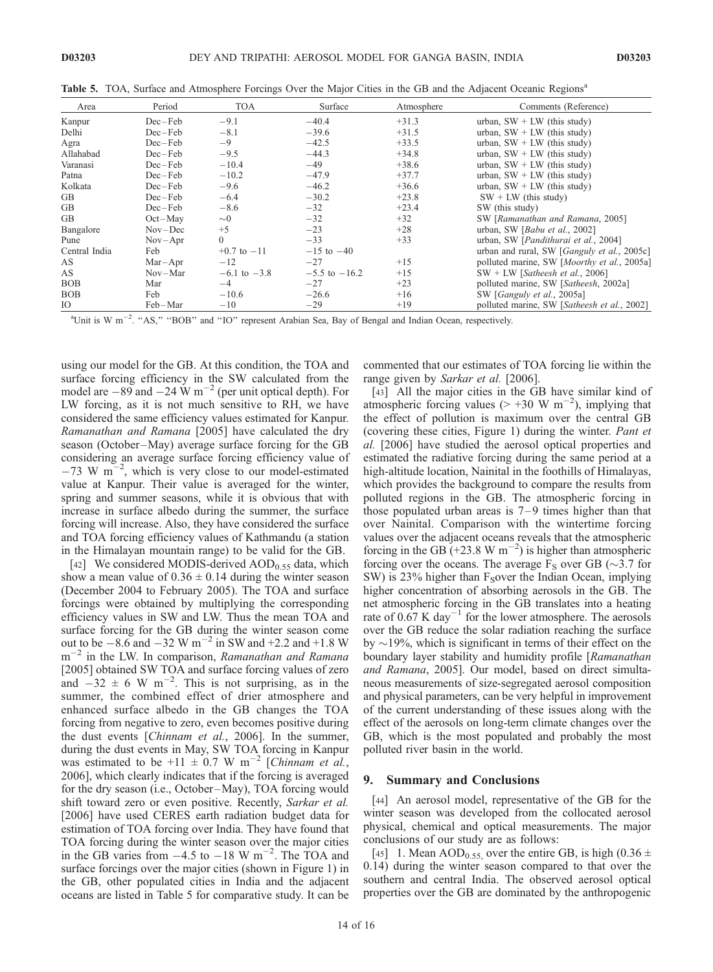| Area          | Period      | <b>TOA</b>       | Surface           | Atmosphere | Comments (Reference)                        |
|---------------|-------------|------------------|-------------------|------------|---------------------------------------------|
| Kanpur        | $Dec - Feb$ | $-9.1$           | $-40.4$           | $+31.3$    | urban, $SW + LW$ (this study)               |
| Delhi         | $Dec - Feb$ | $-8.1$           | $-39.6$           | $+31.5$    | urban, $SW + LW$ (this study)               |
| Agra          | $Dec-Feb$   | $-9$             | $-42.5$           | $+33.5$    | urban, $SW + LW$ (this study)               |
| Allahabad     | $Dec - Feb$ | $-9.5$           | $-44.3$           | $+34.8$    | urban, $SW + LW$ (this study)               |
| Varanasi      | $Dec - Feb$ | $-10.4$          | $-49$             | $+38.6$    | urban, $SW + LW$ (this study)               |
| Patna         | $Dec - Feb$ | $-10.2$          | $-47.9$           | $+37.7$    | urban, $SW + LW$ (this study)               |
| Kolkata       | $Dec - Feb$ | $-9.6$           | $-46.2$           | $+36.6$    | urban, $SW + LW$ (this study)               |
| <b>GB</b>     | $Dec - Feb$ | $-6.4$           | $-30.2$           | $+23.8$    | $SW + LW$ (this study)                      |
| <b>GB</b>     | $Dec - Feb$ | $-8.6$           | $-32$             | $+23.4$    | SW (this study)                             |
| <b>GB</b>     | $Oct-May$   | $\sim \! 0$      | $-32$             | $+32$      | SW [Ramanathan and Ramana, 2005]            |
| Bangalore     | $Nov-Dec$   | $+5$             | $-23$             | $+28$      | urban, SW [Babu et al., 2002]               |
| Pune          | $Nov-Apr$   | $\Omega$         | $-33$             | $+33$      | urban, SW [Pandithurai et al., 2004]        |
| Central India | Feb         | $+0.7$ to $-11$  | $-15$ to $-40$    |            | urban and rural, SW [Ganguly et al., 2005c] |
| AS            | $Mar-Apr$   | $-12$            | $-27$             | $+15$      | polluted marine, SW [Moorthy et al., 2005a] |
| AS            | $Nov-Mar$   | $-6.1$ to $-3.8$ | $-5.5$ to $-16.2$ | $+15$      | $SW + LW$ [ <i>Satheesh et al., 2006</i> ]  |
| <b>BOB</b>    | Mar         | $-4$             | $-27$             | $+23$      | polluted marine, SW [Satheesh, 2002a]       |
| <b>BOB</b>    | Feb         | $-10.6$          | $-26.6$           | $+16$      | SW [Ganguly et al., 2005a]                  |
| IO            | Feb-Mar     | $-10$            | $-29$             | $+19$      | polluted marine, SW [Satheesh et al., 2002] |

Table 5. TOA, Surface and Atmosphere Forcings Over the Major Cities in the GB and the Adjacent Oceanic Regions<sup>a</sup>

<sup>a</sup>Unit is W m<sup>-2</sup>. "AS," "BOB" and "IO" represent Arabian Sea, Bay of Bengal and Indian Ocean, respectively.

using our model for the GB. At this condition, the TOA and surface forcing efficiency in the SW calculated from the model are  $-89$  and  $-24 \text{ W m}^{-2}$  (per unit optical depth). For LW forcing, as it is not much sensitive to RH, we have considered the same efficiency values estimated for Kanpur. Ramanathan and Ramana [2005] have calculated the dry season (October-May) average surface forcing for the GB considering an average surface forcing efficiency value of  $-73$  W m<sup>-2</sup>, which is very close to our model-estimated value at Kanpur. Their value is averaged for the winter, spring and summer seasons, while it is obvious that with increase in surface albedo during the summer, the surface forcing will increase. Also, they have considered the surface and TOA forcing efficiency values of Kathmandu (a station in the Himalayan mountain range) to be valid for the GB.

[42] We considered MODIS-derived  $AOD_{0.55}$  data, which show a mean value of  $0.36 \pm 0.14$  during the winter season (December 2004 to February 2005). The TOA and surface forcings were obtained by multiplying the corresponding efficiency values in SW and LW. Thus the mean TOA and surface forcing for the GB during the winter season come out to be  $-8.6$  and  $-32 \text{ W m}^{-2}$  in SW and  $+2.2$  and  $+1.8 \text{ W}$  $m^{-2}$  in the LW. In comparison, Ramanathan and Ramana [2005] obtained SW TOA and surface forcing values of zero and  $-32 \pm 6$  W m<sup>-2</sup>. This is not surprising, as in the summer, the combined effect of drier atmosphere and enhanced surface albedo in the GB changes the TOA forcing from negative to zero, even becomes positive during the dust events [Chinnam et al., 2006]. In the summer, during the dust events in May, SW TOA forcing in Kanpur was estimated to be +11  $\pm$  0.7 W m<sup>-2</sup> [Chinnam et al., 2006], which clearly indicates that if the forcing is averaged for the dry season (i.e., October–May), TOA forcing would shift toward zero or even positive. Recently, Sarkar et al. [2006] have used CERES earth radiation budget data for estimation of TOA forcing over India. They have found that TOA forcing during the winter season over the major cities in the GB varies from  $-4.5$  to  $-18$  W m<sup>-2</sup>. The TOA and surface forcings over the major cities (shown in Figure 1) in the GB, other populated cities in India and the adjacent oceans are listed in Table 5 for comparative study. It can be

commented that our estimates of TOA forcing lie within the range given by Sarkar et al. [2006].

[43] All the major cities in the GB have similar kind of atmospheric forcing values ( $> +30 \, \text{W m}^{-2}$ ), implying that the effect of pollution is maximum over the central GB (covering these cities, Figure 1) during the winter. Pant et al. [2006] have studied the aerosol optical properties and estimated the radiative forcing during the same period at a high-altitude location, Nainital in the foothills of Himalayas, which provides the background to compare the results from polluted regions in the GB. The atmospheric forcing in those populated urban areas is  $7-9$  times higher than that over Nainital. Comparison with the wintertime forcing values over the adjacent oceans reveals that the atmospheric forcing in the GB  $(+23.8 \text{ W m}^{-2})$  is higher than atmospheric forcing over the oceans. The average  $F_S$  over GB ( $\sim$ 3.7 for SW) is 23% higher than  $F<sub>S</sub>$ over the Indian Ocean, implying higher concentration of absorbing aerosols in the GB. The net atmospheric forcing in the GB translates into a heating rate of  $0.67$  K day<sup>-1</sup> for the lower atmosphere. The aerosols over the GB reduce the solar radiation reaching the surface by  $\sim$ 19%, which is significant in terms of their effect on the boundary layer stability and humidity profile [Ramanathan] and Ramana, 2005]. Our model, based on direct simultaneous measurements of size-segregated aerosol composition and physical parameters, can be very helpful in improvement of the current understanding of these issues along with the effect of the aerosols on long-term climate changes over the GB, which is the most populated and probably the most polluted river basin in the world.

#### 9. Summary and Conclusions

[44] An aerosol model, representative of the GB for the winter season was developed from the collocated aerosol physical, chemical and optical measurements. The major conclusions of our study are as follows:

[45] 1. Mean AOD<sub>0.55</sub>, over the entire GB, is high (0.36  $\pm$ 0.14) during the winter season compared to that over the southern and central India. The observed aerosol optical properties over the GB are dominated by the anthropogenic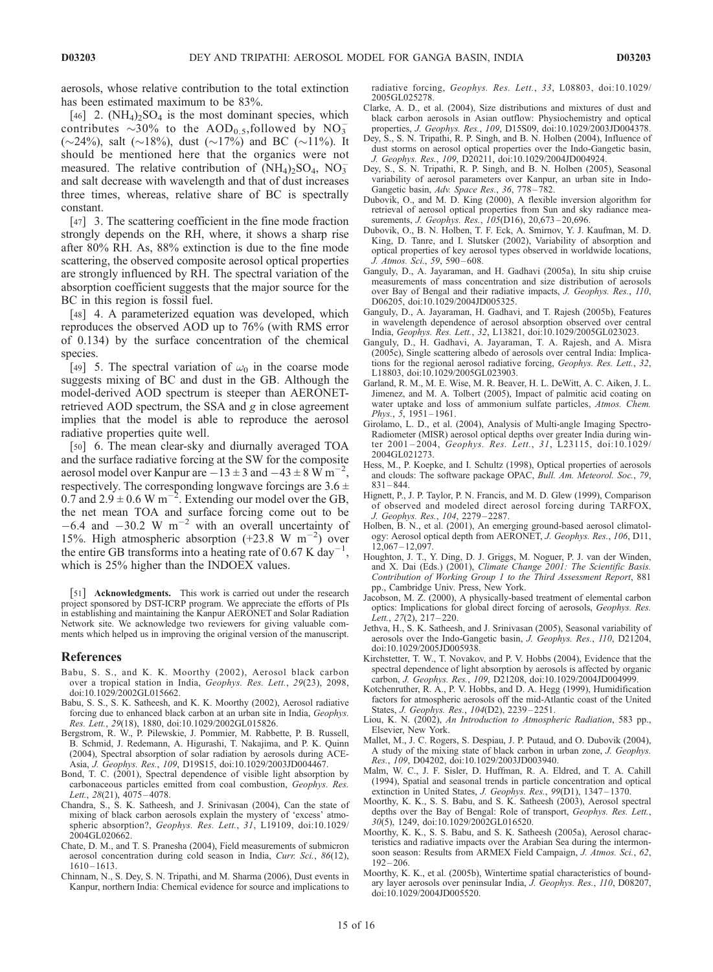aerosols, whose relative contribution to the total extinction has been estimated maximum to be 83%.

[46] 2.  $(NH_4)_2SO_4$  is the most dominant species, which contributes  $\sim 30\%$  to the AOD<sub>0.5</sub>, followed by NO<sub>3</sub> ( $\sim$ 24%), salt ( $\sim$ 18%), dust ( $\sim$ 17%) and BC ( $\sim$ 11%). It should be mentioned here that the organics were not measured. The relative contribution of  $(NH<sub>4</sub>)<sub>2</sub>SO<sub>4</sub>$ ,  $NO<sub>3</sub>$ and salt decrease with wavelength and that of dust increases three times, whereas, relative share of BC is spectrally constant.

[47] 3. The scattering coefficient in the fine mode fraction strongly depends on the RH, where, it shows a sharp rise after 80% RH. As, 88% extinction is due to the fine mode scattering, the observed composite aerosol optical properties are strongly influenced by RH. The spectral variation of the absorption coefficient suggests that the major source for the BC in this region is fossil fuel.

[48] 4. A parameterized equation was developed, which reproduces the observed AOD up to 76% (with RMS error of 0.134) by the surface concentration of the chemical species.

[49] 5. The spectral variation of  $\omega_0$  in the coarse mode suggests mixing of BC and dust in the GB. Although the model-derived AOD spectrum is steeper than AERONETretrieved AOD spectrum, the SSA and g in close agreement implies that the model is able to reproduce the aerosol radiative properties quite well.

[50] 6. The mean clear-sky and diurnally averaged TOA and the surface radiative forcing at the SW for the composite aerosol model over Kanpur are  $-13 \pm 3$  and  $-43 \pm 8$  W m<sup>-2</sup> , respectively. The corresponding longwave forcings are  $3.6 \pm$ 0.7 and  $2.9 \pm 0.6$  W m<sup>-2</sup>. Extending our model over the GB, the net mean TOA and surface forcing come out to be  $-6.4$  and  $-30.2$  W m<sup>-2</sup> with an overall uncertainty of 15%. High atmospheric absorption  $(+23.8 \text{ W m}^{-2})$  over the entire GB transforms into a heating rate of 0.67 K day<sup>-1</sup>, which is 25% higher than the INDOEX values.

[51] **Acknowledgments.** This work is carried out under the research project sponsored by DST-ICRP program. We appreciate the efforts of PIs in establishing and maintaining the Kanpur AERONET and Solar Radiation Network site. We acknowledge two reviewers for giving valuable comments which helped us in improving the original version of the manuscript.

#### References

- Babu, S. S., and K. K. Moorthy (2002), Aerosol black carbon over a tropical station in India, Geophys. Res. Lett., 29(23), 2098, doi:10.1029/2002GL015662.
- Babu, S. S., S. K. Satheesh, and K. K. Moorthy (2002), Aerosol radiative forcing due to enhanced black carbon at an urban site in India, Geophys. Res. Lett., 29(18), 1880, doi:10.1029/2002GL015826.
- Bergstrom, R. W., P. Pilewskie, J. Pommier, M. Rabbette, P. B. Russell, B. Schmid, J. Redemann, A. Higurashi, T. Nakajima, and P. K. Quinn (2004), Spectral absorption of solar radiation by aerosols during ACE-Asia, J. Geophys. Res., 109, D19S15, doi:10.1029/2003JD004467.
- Bond, T. C. (2001), Spectral dependence of visible light absorption by carbonaceous particles emitted from coal combustion, Geophys. Res. Lett.,  $28(21)$ ,  $4075 - 4078$ .
- Chandra, S., S. K. Satheesh, and J. Srinivasan (2004), Can the state of mixing of black carbon aerosols explain the mystery of 'excess' atmospheric absorption?, Geophys. Res. Lett., 31, L19109, doi:10.1029/ 2004GL020662.
- Chate, D. M., and T. S. Pranesha (2004), Field measurements of submicron aerosol concentration during cold season in India, Curr. Sci., 86(12),  $1610 - 1613$ .
- Chinnam, N., S. Dey, S. N. Tripathi, and M. Sharma (2006), Dust events in Kanpur, northern India: Chemical evidence for source and implications to

radiative forcing, Geophys. Res. Lett., 33, L08803, doi:10.1029/ 2005GL025278.

- Clarke, A. D., et al. (2004), Size distributions and mixtures of dust and black carbon aerosols in Asian outflow: Physiochemistry and optical properties, J. Geophys. Res., 109, D15S09, doi:10.1029/2003JD004378.
- Dey, S., S. N. Tripathi, R. P. Singh, and B. N. Holben (2004), Influence of dust storms on aerosol optical properties over the Indo-Gangetic basin, J. Geophys. Res., 109, D20211, doi:10.1029/2004JD004924.
- Dey, S., S. N. Tripathi, R. P. Singh, and B. N. Holben (2005), Seasonal variability of aerosol parameters over Kanpur, an urban site in Indo-Gangetic basin, Adv. Space Res., 36, 778-782.
- Dubovik, O., and M. D. King (2000), A flexible inversion algorithm for retrieval of aerosol optical properties from Sun and sky radiance measurements, *J. Geophys. Res.*, 105(D16), 20,673-20,696.
- Dubovik, O., B. N. Holben, T. F. Eck, A. Smirnov, Y. J. Kaufman, M. D. King, D. Tanre, and I. Slutsker (2002), Variability of absorption and optical properties of key aerosol types observed in worldwide locations, J. Atmos. Sci., 59, 590 – 608.
- Ganguly, D., A. Jayaraman, and H. Gadhavi (2005a), In situ ship cruise measurements of mass concentration and size distribution of aerosols over Bay of Bengal and their radiative impacts, J. Geophys. Res., 110, D06205, doi:10.1029/2004JD005325.
- Ganguly, D., A. Jayaraman, H. Gadhavi, and T. Rajesh (2005b), Features in wavelength dependence of aerosol absorption observed over central India, Geophys. Res. Lett., 32, L13821, doi:10.1029/2005GL023023.
- Ganguly, D., H. Gadhavi, A. Jayaraman, T. A. Rajesh, and A. Misra (2005c), Single scattering albedo of aerosols over central India: Implications for the regional aerosol radiative forcing, Geophys. Res. Lett., 32, L18803, doi:10.1029/2005GL023903.
- Garland, R. M., M. E. Wise, M. R. Beaver, H. L. DeWitt, A. C. Aiken, J. L. Jimenez, and M. A. Tolbert (2005), Impact of palmitic acid coating on water uptake and loss of ammonium sulfate particles, Atmos. Chem. Phys.,  $5, 1951 - 1961$ .
- Girolamo, L. D., et al. (2004), Analysis of Multi-angle Imaging Spectro-Radiometer (MISR) aerosol optical depths over greater India during winter 2001 – 2004, Geophys. Res. Lett., 31, L23115, doi:10.1029/ 2004GL021273.
- Hess, M., P. Koepke, and I. Schultz (1998), Optical properties of aerosols and clouds: The software package OPAC, Bull. Am. Meteorol. Soc., 79, 831 – 844.
- Hignett, P., J. P. Taylor, P. N. Francis, and M. D. Glew (1999), Comparison of observed and modeled direct aerosol forcing during TARFOX, J. Geophys. Res., 104, 2279 – 2287.
- Holben, B. N., et al. (2001), An emerging ground-based aerosol climatology: Aerosol optical depth from AERONET, J. Geophys. Res., 106, D11,  $12,067 - 12,097$ .
- Houghton, J. T., Y. Ding, D. J. Griggs, M. Noguer, P. J. van der Winden, and X. Dai (Eds.) (2001), Climate Change 2001: The Scientific Basis. Contribution of Working Group 1 to the Third Assessment Report, 881 pp., Cambridge Univ. Press, New York.
- Jacobson, M. Z. (2000), A physically-based treatment of elemental carbon optics: Implications for global direct forcing of aerosols, Geophys. Res. Lett.,  $27(2)$ ,  $217 - 220$ .
- Jethva, H., S. K. Satheesh, and J. Srinivasan (2005), Seasonal variability of aerosols over the Indo-Gangetic basin, J. Geophys. Res., 110, D21204, doi:10.1029/2005JD005938.
- Kirchstetter, T. W., T. Novakov, and P. V. Hobbs (2004), Evidence that the spectral dependence of light absorption by aerosols is affected by organic carbon, J. Geophys. Res., 109, D21208, doi:10.1029/2004JD004999.
- Kotchenruther, R. A., P. V. Hobbs, and D. A. Hegg (1999), Humidification factors for atmospheric aerosols off the mid-Atlantic coast of the United States, J. Geophys. Res., 104(D2), 2239 – 2251.
- Liou, K. N. (2002), An Introduction to Atmospheric Radiation, 583 pp., Elsevier, New York.
- Mallet, M., J. C. Rogers, S. Despiau, J. P. Putaud, and O. Dubovik (2004), A study of the mixing state of black carbon in urban zone, J. Geophys. Res., 109, D04202, doi:10.1029/2003JD003940.
- Malm, W. C., J. F. Sisler, D. Huffman, R. A. Eldred, and T. A. Cahill (1994), Spatial and seasonal trends in particle concentration and optical extinction in United States, J. Geophys. Res., 99(D1), 1347-1370.
- Moorthy, K. K., S. S. Babu, and S. K. Satheesh (2003), Aerosol spectral depths over the Bay of Bengal: Role of transport, Geophys. Res. Lett., 30(5), 1249, doi:10.1029/2002GL016520.
- Moorthy, K. K., S. S. Babu, and S. K. Satheesh (2005a), Aerosol characteristics and radiative impacts over the Arabian Sea during the intermonsoon season: Results from ARMEX Field Campaign, J. Atmos. Sci., 62,  $192 - 206$ .
- Moorthy, K. K., et al. (2005b), Wintertime spatial characteristics of boundary layer aerosols over peninsular India, J. Geophys. Res., 110, D08207, doi:10.1029/2004JD005520.